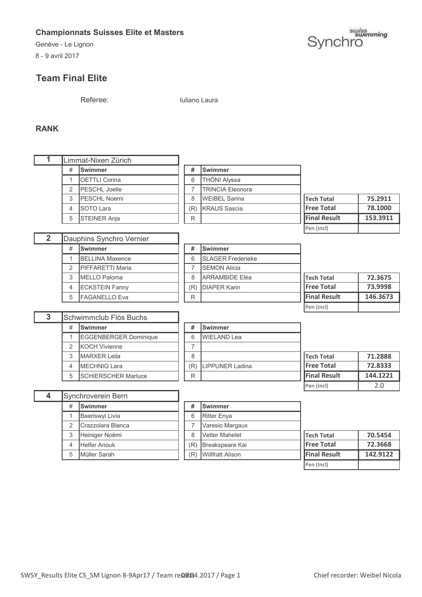Genève - Le Lignon

8 - 9 avril 2017

# **Team Final Elite**

suiss<br>Synchro

Referee: Iuliano Laura

#### **RANK**

Г

|        |   | Limmat-Nixen Zürich                        |     |                         |                     |          |
|--------|---|--------------------------------------------|-----|-------------------------|---------------------|----------|
|        | # | <b>Swimmer</b>                             | #   | <b>Swimmer</b>          |                     |          |
|        |   | <b>OETTLI Corina</b>                       | 6   | THÖNI Alyssa            |                     |          |
|        | ⌒ | <b>PESCHL Joelle</b>                       |     | <b>TRINCIA Eleonora</b> |                     |          |
|        | 3 | <b>PESCHL Noemi</b>                        | 8   | <b>WEIBEL Sarina</b>    | <b>Tech Total</b>   | 75.2911  |
|        | Δ | <b>SOTO Lara</b>                           | (R) | <b>KRAUS</b> Sascia     | <b>Free Total</b>   | 78.1000  |
|        | 5 | <b>STEINER Anja</b>                        | R   |                         | <b>Final Result</b> | 153.3911 |
|        |   |                                            |     |                         | Pen (Incl)          |          |
| $\sim$ |   | $\mathbb{R}$ . $\mathbb{R}$ . $\mathbb{R}$ |     |                         |                     |          |

| $\overline{\mathbf{2}}$ |   | Dauphins Synchro Vernier |     |                 |
|-------------------------|---|--------------------------|-----|-----------------|
|                         | # | <b>Swimmer</b>           | #   | Swimmer         |
|                         |   | <b>BELLINA Maxence</b>   | 6   | <b>SLAGER</b>   |
|                         | 2 | <b>IPIFFARETTI Maria</b> |     | <b>ISEMON A</b> |
|                         | 3 | MELLO Paloma             | 8   | <b>ARRAMB</b>   |
|                         | 4 | <b>ECKSTEIN Fanny</b>    | (R) | <b>DIAPER</b>   |
|                         | 5 | FAGANELLO Eva            | R   |                 |

|   | auphilis oviigilio verriiei |     |                           |                     |          |
|---|-----------------------------|-----|---------------------------|---------------------|----------|
| # | <b>Swimmer</b>              | #   | <b>Swimmer</b>            |                     |          |
| 1 | <b>BELLINA Maxence</b>      | 6   | <b>ISLAGER Frederieke</b> |                     |          |
|   | 2 PIFFARETTI Maria          |     | <b>SEMON Alicia</b>       |                     |          |
|   | 3 <b>IMELLO Paloma</b>      | 8   | <b>IARRAMBIDE Eléa</b>    | <b>Tech Total</b>   | 72.3675  |
|   | 4 ECKSTEIN Fanny            | (R) | <b>DIAPER Karin</b>       | <b>Free Total</b>   | 73.9998  |
|   | 5 FAGANELLO Eva             | R   |                           | <b>Final Result</b> | 146.3673 |
|   |                             |     |                           | Pen (Incl)          |          |

| 3 |   | Schwimmclub Flös Buchs       |    |                |
|---|---|------------------------------|----|----------------|
|   | # | <b>Swimmer</b>               | #  | Swimmer        |
|   |   | <b>EGGENBERGER Dominique</b> | 6  | <b>WIELAND</b> |
|   | 2 | <b>KOCH Vivienne</b>         |    |                |
|   | 3 | <b>MARXER Leila</b>          |    |                |
|   |   | <b>MECHNIG Lara</b>          | (R | <b>LIPPUNE</b> |
|   | 5 | <b>SCHIERSCHER Marluce</b>   | R  |                |

|   | chwimmclub Flös Buchs        |     |                        |                     |          |
|---|------------------------------|-----|------------------------|---------------------|----------|
| # | <b>Swimmer</b>               | #   | <b>Swimmer</b>         |                     |          |
| 1 | <b>EGGENBERGER Dominique</b> | 6   | <b>WIELAND Lea</b>     |                     |          |
|   | 2 KOCH Vivienne              |     |                        |                     |          |
| 3 | <b>IMARXER Leila</b>         | 8   |                        | <b>Tech Total</b>   | 71.2888  |
| 4 | <b>IMECHNIG Lara</b>         | (R) | <b>LIPPUNER Ladina</b> | <b>Free Total</b>   | 72.8333  |
|   | 5 SCHIERSCHER Marluce        | R   |                        | <b>Final Result</b> | 144.1221 |
|   |                              |     |                        | Pen (Incl)          | 2.0      |

| 4 |   | Synchroverein Bern     |     |                         |                     |          |
|---|---|------------------------|-----|-------------------------|---------------------|----------|
|   | # | <b>Swimmer</b>         | #   | <b>ISwimmer</b>         |                     |          |
|   |   | <b>Baeriswyl Livia</b> | 6   | <b>Ritter Enya</b>      |                     |          |
|   | 2 | Crazzolara Blanca      |     | Varesio Margaux         |                     |          |
|   | 3 | Heiniger Noëmi         | 8   | <b>Vetter Mahelet</b>   | <b>Tech Total</b>   | 70.5454  |
|   | 4 | <b>Helfer Anouk</b>    | (R) | Breakspeare Kai         | <b>Free Total</b>   | 72.3668  |
|   | 5 | Müller Sarah           | (R) | <b>Willfratt Alison</b> | <b>Final Result</b> | 142.9122 |
|   |   |                        |     |                         | Pen (Incl)          |          |
|   |   |                        |     |                         |                     |          |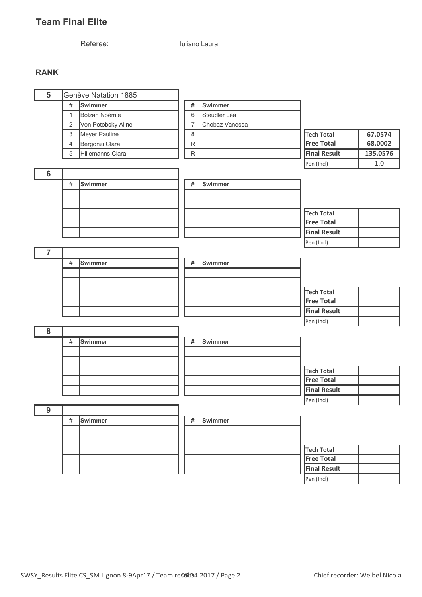# **Team Final Elite**

Referee: Iuliano Laura

#### **RANK**

| $\overline{5}$           |                | Genève Natation 1885 |                |                |                     |          |
|--------------------------|----------------|----------------------|----------------|----------------|---------------------|----------|
|                          | $\#$           | Swimmer              | $\#$           | Swimmer        |                     |          |
|                          | $\mathbf{1}$   | <b>Bolzan Noémie</b> | $6\,$          | Steudler Léa   |                     |          |
|                          | 2              | Von Potobsky Aline   | $\overline{7}$ | Chobaz Vanessa |                     |          |
|                          | $\sqrt{3}$     | Meyer Pauline        | $\,8\,$        |                | Tech Total          | 67.0574  |
|                          | $\overline{4}$ | Bergonzi Clara       | ${\sf R}$      |                | <b>Free Total</b>   | 68.0002  |
|                          | 5              | Hillemanns Clara     | $\mathsf R$    |                | <b>Final Result</b> | 135.0576 |
|                          |                |                      |                |                | Pen (Incl)          | $1.0\,$  |
| $6\phantom{1}6$          |                |                      |                |                |                     |          |
|                          | $\#$           | <b>Swimmer</b>       | $\#$           | Swimmer        |                     |          |
|                          |                |                      |                |                |                     |          |
|                          |                |                      |                |                |                     |          |
|                          |                |                      |                |                | Tech Total          |          |
|                          |                |                      |                |                | <b>Free Total</b>   |          |
|                          |                |                      |                |                | <b>Final Result</b> |          |
|                          |                |                      |                |                | Pen (Incl)          |          |
| $\overline{\phantom{0}}$ |                |                      |                |                |                     |          |
|                          | $\#$           | Swimmer              | #              | Swimmer        |                     |          |
|                          |                |                      |                |                |                     |          |
|                          |                |                      |                |                |                     |          |
|                          |                |                      |                |                | Tech Total          |          |
|                          |                |                      |                |                | <b>Free Total</b>   |          |
|                          |                |                      |                |                | <b>Final Result</b> |          |
|                          |                |                      |                |                | Pen (Incl)          |          |
| ${\bf 8}$                |                |                      |                |                |                     |          |
|                          | $\#$           | <b>Swimmer</b>       | $\#$           | Swimmer        |                     |          |
|                          |                |                      |                |                |                     |          |
|                          |                |                      |                |                |                     |          |
|                          |                |                      |                |                | Tech Total          |          |
|                          |                |                      |                |                | <b>Free Total</b>   |          |
|                          |                |                      |                |                | <b>Final Result</b> |          |
|                          |                |                      |                |                | Pen (Incl)          |          |
| 9                        |                |                      |                |                |                     |          |
|                          | $\#$           | <b>Swimmer</b>       | #              | Swimmer        |                     |          |
|                          |                |                      |                |                |                     |          |
|                          |                |                      |                |                |                     |          |
|                          |                |                      |                |                | Tech Total          |          |
|                          |                |                      |                |                | <b>Free Total</b>   |          |
|                          |                |                      |                |                | <b>Final Result</b> |          |
|                          |                |                      |                |                |                     |          |

Pen (Incl)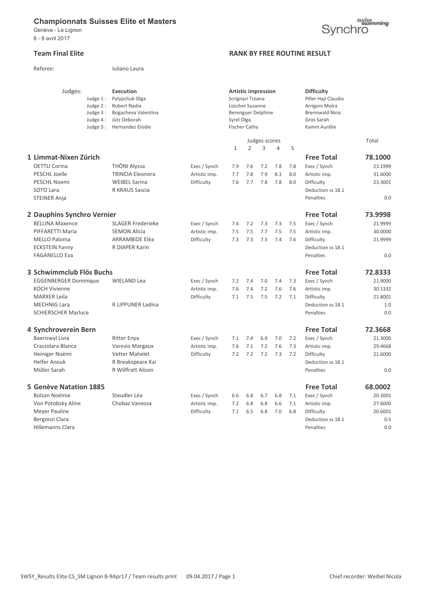Referee: Iuliano Laura

Genève - Le Lignon 8 - 9 avril 2017

#### **Team Final Elite RANK BY FREE ROUTINE RESULT**

| Judges:<br>Judge 1:<br>Judge 2:       | <b>Execution</b><br>Pylypchuk Olga<br><b>Robert Nadia</b> |               |              | Scrignari Tiziana<br>Lüscher Susanne | <b>Artistic impression</b> |                |            | <b>Difficulty</b><br>Piller Haji Claudia<br>Arrigoni Moïra |         |
|---------------------------------------|-----------------------------------------------------------|---------------|--------------|--------------------------------------|----------------------------|----------------|------------|------------------------------------------------------------|---------|
| Judge 3:<br>Judge 4:<br>Judge 5 :     | Bogacheva Valentina<br>Jütz Deborah<br>Hernandez Elodie   |               | Syrel Olga   | <b>Fischer Cathy</b>                 | Berenguer Delphine         |                |            | <b>Brennwald Nina</b><br>Gros Sarah<br>Kamm Aurélie        |         |
|                                       |                                                           |               |              |                                      | Judges scores              |                |            |                                                            | Total   |
|                                       |                                                           |               | $\mathbf{1}$ | $\overline{2}$                       | 3                          | $\overline{4}$ | 5          |                                                            |         |
| 1 Limmat-Nixen Zürich                 |                                                           |               |              |                                      |                            |                |            | <b>Free Total</b>                                          | 78.1000 |
| <b>OETTLI Corina</b>                  | <b>THÖNI Alyssa</b>                                       | Exec / Synch  | 7.9          | 7.6                                  | 7.2                        | 7.8            | 7.8        | Exec / Synch                                               | 23.1999 |
| PESCHL Joelle                         | <b>TRINCIA Eleonora</b>                                   | Artistic imp. | 7.7          | 7.8                                  | 7.9                        | 8.1            | 8.0        | Artistic imp.                                              | 31.6000 |
| PESCHL Noemi                          | <b>WEIBEL Sarina</b>                                      | Difficulty    | 7.6          | 7.7                                  | 7.8                        | 7.8            | 8.0        | Difficulty                                                 | 23.3001 |
| SOTO Lara                             | R KRAUS Sascia                                            |               |              |                                      |                            |                |            | Deduction ss 18.1                                          |         |
| <b>STEINER Anja</b>                   |                                                           |               |              |                                      |                            |                |            | Penalties                                                  | 0.0     |
| 2 Dauphins Synchro Vernier            |                                                           |               |              |                                      |                            |                |            | <b>Free Total</b>                                          | 73.9998 |
| <b>BELLINA Maxence</b>                | <b>SLAGER Frederieke</b>                                  | Exec / Synch  | 7.4          | 7.2                                  | 7.3                        | 7.3            | 7.5        | Exec / Synch                                               | 21.9999 |
| PIFFARETTI Maria                      | <b>SEMON Alicia</b>                                       | Artistic imp. | 7.5          | 7.5                                  | 7.7                        | 7.5            | 7.5        | Artistic imp.                                              | 30.0000 |
| <b>MELLO Paloma</b>                   | <b>ARRAMBIDE Eléa</b>                                     | Difficulty    | 7.3          | 7.3                                  | 7.3                        | 7.4            | 7.6        | Difficulty                                                 | 21.9999 |
| <b>ECKSTEIN Fanny</b>                 | R DIAPER Karin                                            |               |              |                                      |                            |                |            | Deduction ss 18.1                                          |         |
| <b>FAGANELLO Eva</b>                  |                                                           |               |              |                                      |                            |                |            | Penalties                                                  | 0.0     |
| 3 Schwimmclub Flös Buchs              |                                                           |               |              |                                      |                            |                |            | <b>Free Total</b>                                          | 72.8333 |
| <b>EGGENBERGER Dominique</b>          | <b>WIELAND Lea</b>                                        | Exec / Synch  | 7.2          | 7.4                                  | 7.0                        | 7.4            | 7.3        | Exec / Synch                                               | 21.9000 |
| <b>KOCH Vivienne</b>                  |                                                           | Artistic imp. | 7.6          | 7.4                                  | 7.2                        | 7.6            | 7.6        | Artistic imp.                                              | 30.1332 |
| <b>MARXER Leila</b>                   |                                                           | Difficulty    | 7.1          | 7.5                                  | 7.5                        | 7.2            | 7.1        | Difficulty                                                 | 21.8001 |
| <b>MECHNIG Lara</b>                   | R LIPPUNER Ladina                                         |               |              |                                      |                            |                |            | Deduction ss 18.1                                          | 1.0     |
| <b>SCHIERSCHER Marluce</b>            |                                                           |               |              |                                      |                            |                |            | Penalties                                                  | 0.0     |
| 4 Synchroverein Bern                  |                                                           |               |              |                                      |                            |                |            | <b>Free Total</b>                                          | 72.3668 |
| Baeriswyl Livia                       |                                                           |               |              | 7.4                                  | 6.9                        | 7.0            | 7.2        |                                                            | 21.3000 |
| Crazzolara Blanca                     | <b>Ritter Enya</b>                                        | Exec / Synch  | 7.1<br>7.6   | 7.1                                  | 7.2                        | 7.6            |            | Exec / Synch                                               |         |
|                                       | Varesio Margaux                                           | Artistic imp. | 7.2          | 7.2                                  | 7.2                        | 7.3            | 7.3<br>7.2 | Artistic imp.                                              | 29.4668 |
| Heiniger Noëmi<br><b>Helfer Anouk</b> | Vetter Mahelet<br>R Breakspeare Kai                       | Difficulty    |              |                                      |                            |                |            | Difficulty<br>Deduction ss 18.1                            | 21.6000 |
| Müller Sarah                          | R Willfratt Alison                                        |               |              |                                      |                            |                |            | Penalties                                                  | 0.0     |
|                                       |                                                           |               |              |                                      |                            |                |            |                                                            |         |
| <b>5 Genève Natation 1885</b>         |                                                           |               |              |                                      |                            |                |            | <b>Free Total</b>                                          | 68.0002 |
| Bolzan Noémie                         | Steudler Léa                                              | Exec / Synch  | 6.6          | 6.8                                  | 6.7                        | 6.8            | 7.1        | Exec / Synch                                               | 20.3001 |
| Von Potobsky Aline                    | Chobaz Vanessa                                            | Artistic imp. | 7.2          | 6.8                                  | 6.8                        | 6.6            | 7.1        | Artistic imp.                                              | 27.6000 |
| Meyer Pauline                         |                                                           | Difficulty    | 7.1          | 6.5                                  | 6.8                        | 7.0            | 6.8        | Difficulty                                                 | 20.6001 |
| Bergonzi Clara                        |                                                           |               |              |                                      |                            |                |            | Deduction ss 18.1                                          | 0.5     |
| Hillemanns Clara                      |                                                           |               |              |                                      |                            |                |            | Penalties                                                  | 0.0     |

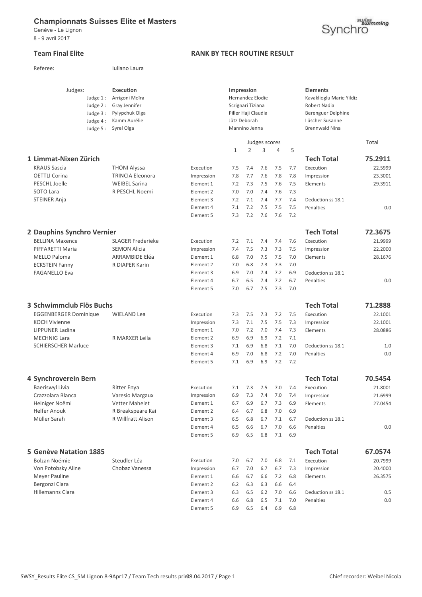Referee: luliano Laura

Genève - Le Lignon 8 - 9 avril 2017

#### **Team Final Elite RANK BY TECH ROUTINE RESULT**

| Judges:                       | Judge $1$ :<br>Judge 2:<br>Judge 3 :<br>Judge $4:$<br>Judge 5: | <b>Execution</b><br>Arrigoni Moïra<br>Gray Jennifer<br>Pylypchuk Olga<br>Kamm Aurélie<br>Syrel Olga |            |              | <b>Impression</b><br>Hernandez Elodie<br>Scrignari Tiziana<br>Piller Haji Claudia<br>Jütz Deborah<br>Mannino Jenna |               |         |     | <b>Elements</b><br>Kavaklioglu Marie Yildiz<br>Robert Nadia<br>Berenguer Delphine<br>Lüscher Susanne<br><b>Brennwald Nina</b> |         |
|-------------------------------|----------------------------------------------------------------|-----------------------------------------------------------------------------------------------------|------------|--------------|--------------------------------------------------------------------------------------------------------------------|---------------|---------|-----|-------------------------------------------------------------------------------------------------------------------------------|---------|
|                               |                                                                |                                                                                                     |            |              |                                                                                                                    | Judges scores |         |     |                                                                                                                               | Total   |
|                               |                                                                |                                                                                                     |            | $\mathbf{1}$ | $\overline{2}$                                                                                                     | 3             | 4       | 5   |                                                                                                                               |         |
| 1 Limmat-Nixen Zürich         |                                                                |                                                                                                     |            |              |                                                                                                                    |               |         |     | <b>Tech Total</b>                                                                                                             | 75.2911 |
| <b>KRAUS Sascia</b>           |                                                                | <b>THÖNI Alyssa</b>                                                                                 | Execution  | 7.5          | 7.4                                                                                                                | 7.6           | 7.5     | 7.7 | Execution                                                                                                                     | 22.5999 |
| <b>OETTLI Corina</b>          |                                                                | <b>TRINCIA Eleonora</b>                                                                             | Impression | 7.8          | 7.7                                                                                                                | 7.6           | 7.8     | 7.8 | Impression                                                                                                                    | 23.3001 |
| PESCHL Joelle                 |                                                                | <b>WEIBEL Sarina</b>                                                                                | Element 1  | 7.2          | 7.3                                                                                                                | 7.5           | 7.6     | 7.5 | Elements                                                                                                                      | 29.3911 |
| SOTO Lara                     |                                                                | R PESCHL Noemi                                                                                      | Element 2  | 7.0          | 7.0                                                                                                                | 7.4           | 7.6     | 7.3 |                                                                                                                               |         |
| <b>STEINER Anja</b>           |                                                                |                                                                                                     | Element 3  | 7.2          | 7.1                                                                                                                | 7.4           | 7.7     | 7.4 | Deduction ss 18.1                                                                                                             |         |
|                               |                                                                |                                                                                                     | Element 4  | 7.1          | 7.2                                                                                                                | 7.5           | 7.5     | 7.5 | Penalties                                                                                                                     | 0.0     |
|                               |                                                                |                                                                                                     | Element 5  | 7.3          | 7.2                                                                                                                | 7.6           | 7.6     | 7.2 |                                                                                                                               |         |
| 2 Dauphins Synchro Vernier    |                                                                |                                                                                                     |            |              |                                                                                                                    |               |         |     | <b>Tech Total</b>                                                                                                             | 72.3675 |
| <b>BELLINA Maxence</b>        |                                                                | SLAGER Frederieke                                                                                   | Execution  | 7.2          | 7.1                                                                                                                | 7.4           | 7.4     | 7.6 | Execution                                                                                                                     | 21.9999 |
| PIFFARETTI Maria              |                                                                | <b>SEMON Alicia</b>                                                                                 | Impression | 7.4          | 7.5                                                                                                                | 7.3           | 7.3     | 7.5 | Impression                                                                                                                    | 22.2000 |
| <b>MELLO Paloma</b>           |                                                                | <b>ARRAMBIDE Eléa</b>                                                                               | Element 1  | 6.8          | 7.0                                                                                                                | 7.5           | 7.5     | 7.0 | Elements                                                                                                                      | 28.1676 |
| <b>ECKSTEIN Fanny</b>         |                                                                | R DIAPER Karin                                                                                      | Element 2  | 7.0          | 6.8                                                                                                                | 7.3           | 7.3     | 7.0 |                                                                                                                               |         |
| <b>FAGANELLO Eva</b>          |                                                                |                                                                                                     | Element 3  | 6.9          | 7.0                                                                                                                | 7.4           | 7.2     | 6.9 | Deduction ss 18.1                                                                                                             |         |
|                               |                                                                |                                                                                                     | Element 4  | 6.7          | 6.5                                                                                                                | 7.4           | 7.2     | 6.7 | Penalties                                                                                                                     | 0.0     |
|                               |                                                                |                                                                                                     | Element 5  | 7.0          | 6.7                                                                                                                | 7.5           | 7.3     | 7.0 |                                                                                                                               |         |
| 3 Schwimmclub Flös Buchs      |                                                                |                                                                                                     |            |              |                                                                                                                    |               |         |     | <b>Tech Total</b>                                                                                                             | 71.2888 |
| <b>EGGENBERGER Dominique</b>  |                                                                | <b>WIELAND Lea</b>                                                                                  | Execution  | 7.3          | 7.5                                                                                                                | 7.3           | 7.2     | 7.5 | Execution                                                                                                                     | 22.1001 |
| <b>KOCH Vivienne</b>          |                                                                |                                                                                                     | Impression | 7.3          | 7.1                                                                                                                | 7.5           | 7.5     | 7.3 | Impression                                                                                                                    | 22.1001 |
| <b>LIPPUNER Ladina</b>        |                                                                |                                                                                                     | Element 1  | 7.0          | 7.2                                                                                                                | 7.0           | 7.4     | 7.3 | Elements                                                                                                                      | 28.0886 |
| <b>MECHNIG Lara</b>           |                                                                | R MARXER Leila                                                                                      | Element 2  | 6.9          | 6.9                                                                                                                | 6.9           | 7.2     | 7.1 |                                                                                                                               |         |
| <b>SCHIERSCHER Marluce</b>    |                                                                |                                                                                                     | Element 3  | 7.1          | 6.9                                                                                                                | 6.8           | 7.1     | 7.0 | Deduction ss 18.1                                                                                                             | 1.0     |
|                               |                                                                |                                                                                                     | Element 4  | 6.9          | 7.0                                                                                                                | 6.8           | 7.2     | 7.0 | Penalties                                                                                                                     | 0.0     |
|                               |                                                                |                                                                                                     | Element 5  | 7.1          | 6.9                                                                                                                | 6.9           | 7.2     | 7.2 |                                                                                                                               |         |
| 4 Synchroverein Bern          |                                                                |                                                                                                     |            |              |                                                                                                                    |               |         |     | <b>Tech Total</b>                                                                                                             | 70.5454 |
| Baeriswyl Livia               |                                                                | <b>Ritter Enya</b>                                                                                  | Execution  | 7.1          | 7.3                                                                                                                | 7.5           | 7.0     | 7.4 | Execution                                                                                                                     | 21.8001 |
| Crazzolara Blanca             |                                                                | Varesio Margaux                                                                                     | Impression | 6.9          |                                                                                                                    | $7.3$ 7.4     | $7.0\,$ | 7.4 | Impression                                                                                                                    | 21.6999 |
| Heiniger Noëmi                |                                                                | Vetter Mahelet                                                                                      | Element 1  | 6.7          | 6.9                                                                                                                | 6.7           | 7.3     | 6.9 | Elements                                                                                                                      | 27.0454 |
| <b>Helfer Anouk</b>           |                                                                | R Breakspeare Kai                                                                                   | Element 2  | 6.4          | 6.7                                                                                                                | 6.8           | 7.0     | 6.9 |                                                                                                                               |         |
| Müller Sarah                  |                                                                | R Willfratt Alison                                                                                  | Element 3  | 6.5          | 6.8                                                                                                                | 6.7           | 7.1     | 6.7 | Deduction ss 18.1                                                                                                             |         |
|                               |                                                                |                                                                                                     | Element 4  | 6.5          | 6.6                                                                                                                | 6.7           | 7.0     | 6.6 | Penalties                                                                                                                     | 0.0     |
|                               |                                                                |                                                                                                     | Element 5  | 6.9          | 6.5                                                                                                                | 6.8           | 7.1     | 6.9 |                                                                                                                               |         |
| <b>5 Genève Natation 1885</b> |                                                                |                                                                                                     |            |              |                                                                                                                    |               |         |     | <b>Tech Total</b>                                                                                                             | 67.0574 |
| Bolzan Noémie                 |                                                                | Steudler Léa                                                                                        | Execution  | 7.0          | 6.7                                                                                                                | 7.0           | 6.8     | 7.1 | Execution                                                                                                                     | 20.7999 |
| Von Potobsky Aline            |                                                                | Chobaz Vanessa                                                                                      | Impression | 6.7          | 7.0                                                                                                                | 6.7           | 6.7     | 7.3 | Impression                                                                                                                    | 20.4000 |
| Meyer Pauline                 |                                                                |                                                                                                     | Element 1  | 6.6          | 6.7                                                                                                                | 6.6           | 7.2     | 6.8 | Elements                                                                                                                      | 26.3575 |
| Bergonzi Clara                |                                                                |                                                                                                     | Element 2  | 6.2          | 6.3                                                                                                                | 6.3           | 6.6     | 6.4 |                                                                                                                               |         |
| Hillemanns Clara              |                                                                |                                                                                                     | Element 3  | 6.3          | 6.5                                                                                                                | 6.2           | 7.0     | 6.6 | Deduction ss 18.1                                                                                                             | 0.5     |
|                               |                                                                |                                                                                                     | Element 4  | 6.6          | 6.8                                                                                                                | 6.5           | 7.1     | 7.0 | Penalties                                                                                                                     | 0.0     |
|                               |                                                                |                                                                                                     | Element 5  | 6.9          | 6.5                                                                                                                | 6.4           | 6.9     | 6.8 |                                                                                                                               |         |

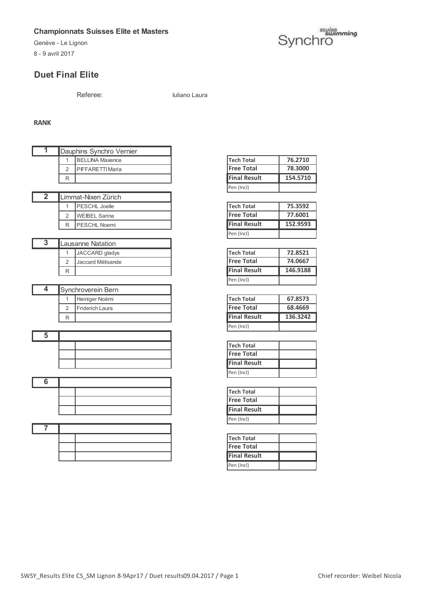8 - 9 avril 2017

# Ghampionnats Suisses Elite et Masters<br>Genève - Le Lignon 52 Synchron 52 Synchron 52 Synchron 52 Synchron 52 Synchron 52 Synchron 52 Synchron 52 Synchron 52 Synchron 52 Synchron 52 Synchron 52 Synchron 52 Synchron 52 Synchr

## **Duet Final Elite**

Referee: Iuliano Laura

#### **RANK**

| T              |                | Dauphins Synchro Vernier |                     |          |
|----------------|----------------|--------------------------|---------------------|----------|
|                | 1              | <b>BELLINA Maxence</b>   | <b>Tech Total</b>   | 76.2710  |
|                | $\overline{2}$ | PIFFARETTI Maria         | <b>Free Total</b>   | 78.3000  |
|                | R              |                          | <b>Final Result</b> | 154.5710 |
|                |                |                          | Pen (Incl)          |          |
| $\overline{2}$ |                | Limmat-Nixen Zürich      |                     |          |
|                | 1              | <b>PESCHL Joelle</b>     | <b>Tech Total</b>   | 75.3592  |
|                | $\overline{2}$ | <b>WEIBEL Sarina</b>     | <b>Free Total</b>   | 77.6001  |
|                | R              | PESCHL Noemi             | <b>Final Result</b> | 152.9593 |
|                |                |                          | Pen (Incl)          |          |
| $\overline{3}$ |                | <b>Lausanne Natation</b> |                     |          |
|                | 1              | JACCARD gladys           | <b>Tech Total</b>   | 72.8521  |
|                | $\overline{2}$ | Jaccard Mélisande        | <b>Free Total</b>   | 74.0667  |
|                | R              |                          | <b>Final Result</b> | 146.9188 |
|                |                |                          | Pen (Incl)          |          |
| 4              |                | Synchroverein Bern       |                     |          |
|                | 1              | Heiniger Noëmi           | <b>Tech Total</b>   | 67.8573  |
|                | $\overline{2}$ | Friderich Laura          | <b>Free Total</b>   | 68.4669  |
|                | R              |                          | <b>Final Result</b> | 136.3242 |
|                |                |                          | Pen (Incl)          |          |
| 5              |                |                          |                     |          |
|                |                |                          | <b>Tech Total</b>   |          |
|                |                |                          | <b>Free Total</b>   |          |
|                |                |                          | <b>Final Result</b> |          |
|                |                |                          | Pen (Incl)          |          |
| 6              |                |                          |                     |          |
|                |                |                          | <b>Tech Total</b>   |          |
|                |                |                          | <b>Free Total</b>   |          |
|                |                |                          | <b>Final Result</b> |          |
|                |                |                          | Pen (Incl)          |          |
| 7              |                |                          |                     |          |
|                |                |                          | <b>Tech Total</b>   |          |
|                |                |                          | <b>Free Total</b>   |          |
|                |                |                          | <b>Final Result</b> |          |

| Tech Total          | 76.2710  |
|---------------------|----------|
| <b>Free Total</b>   | 78.3000  |
|                     |          |
| <b>Final Result</b> | 154.5710 |

| Tech Total          | 75.3592  |
|---------------------|----------|
| <b>Free Total</b>   | 77.6001  |
|                     |          |
| <b>Final Result</b> | 152.9593 |

| Tech Total          | 72.8521  |
|---------------------|----------|
| <b>Free Total</b>   | 74.0667  |
|                     |          |
| <b>Final Result</b> | 146.9188 |

| Tech Total          | 67.8573  |
|---------------------|----------|
| <b>Free Total</b>   | 68.4669  |
| <b>Final Result</b> | 136.3242 |
|                     |          |

| <b>Tech Total</b>   |  |
|---------------------|--|
| <b>Free Total</b>   |  |
| <b>Final Result</b> |  |
| Pen (Incl)          |  |

| <b>Tech Total</b>   |  |
|---------------------|--|
| <b>Free Total</b>   |  |
| <b>Final Result</b> |  |
| Pen (Incl)          |  |

| <b>Tech Total</b>   |  |
|---------------------|--|
| <b>Free Total</b>   |  |
|                     |  |
| <b>Final Result</b> |  |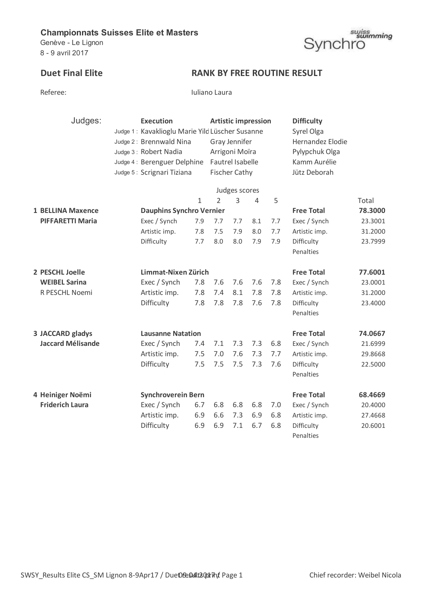Genève - Le Lignon 8 - 9 avril 2017

# suiss<br>Synchro

# **Duet Final Elite RANK BY FREE ROUTINE RESULT**

| Referee |
|---------|
|---------|

Iuliano Laura

| Judges:                  | <b>Execution</b>                                |               |                  |                      | <b>Artistic impression</b> |            | <b>Difficulty</b> |         |  |
|--------------------------|-------------------------------------------------|---------------|------------------|----------------------|----------------------------|------------|-------------------|---------|--|
|                          | Judge 1: Kavaklioglu Marie Yild Lüscher Susanne |               |                  |                      |                            | Syrel Olga |                   |         |  |
|                          | Judge 2: Brennwald Nina                         | Gray Jennifer |                  |                      |                            |            | Hernandez Elodie  |         |  |
|                          | Judge 3: Robert Nadia                           |               | Arrigoni Moïra   |                      |                            |            | Pylypchuk Olga    |         |  |
|                          | Judge 4: Berenguer Delphine                     |               | Fautrel Isabelle |                      |                            |            | Kamm Aurélie      |         |  |
|                          | Judge 5: Scrignari Tiziana                      |               |                  | <b>Fischer Cathy</b> |                            |            | Jütz Deborah      |         |  |
|                          |                                                 |               |                  | Judges scores        |                            |            |                   |         |  |
|                          |                                                 | $\mathbf{1}$  | $\overline{2}$   | 3                    | $\overline{4}$             | 5          |                   | Total   |  |
| <b>1 BELLINA Maxence</b> | <b>Dauphins Synchro Vernier</b>                 |               |                  |                      |                            |            | <b>Free Total</b> | 78.3000 |  |
| <b>PIFFARETTI Maria</b>  | Exec / Synch                                    | 7.9           | 7.7              | 7.7                  | 8.1                        | 7.7        | Exec / Synch      | 23.3001 |  |
|                          | Artistic imp.                                   | 7.8           | 7.5              | 7.9                  | 8.0                        | 7.7        | Artistic imp.     | 31.2000 |  |
|                          | Difficulty                                      | 7.7           | 8.0              | 8.0                  | 7.9                        | 7.9        | Difficulty        | 23.7999 |  |
|                          |                                                 |               |                  |                      |                            |            | Penalties         |         |  |
| 2 PESCHL Joelle          | Limmat-Nixen Zürich                             |               |                  |                      |                            |            | <b>Free Total</b> | 77.6001 |  |
| <b>WEIBEL Sarina</b>     | Exec / Synch                                    | 7.8           | 7.6              | 7.6                  | 7.6                        | 7.8        | Exec / Synch      | 23.0001 |  |
| R PESCHL Noemi           | Artistic imp.                                   | 7.8           | 7.4              | 8.1                  | 7.8                        | 7.8        | Artistic imp.     | 31.2000 |  |
|                          | Difficulty                                      | 7.8           | 7.8              | 7.8                  | 7.6                        | 7.8        | Difficulty        | 23.4000 |  |
|                          |                                                 |               |                  |                      |                            |            | Penalties         |         |  |
| 3 JACCARD gladys         | <b>Lausanne Natation</b>                        |               |                  |                      |                            |            | <b>Free Total</b> | 74.0667 |  |
| <b>Jaccard Mélisande</b> | Exec / Synch                                    | 7.4           | 7.1              | 7.3                  | 7.3                        | 6.8        | Exec / Synch      | 21.6999 |  |
|                          | Artistic imp.                                   | 7.5           | 7.0              | 7.6                  | 7.3                        | 7.7        | Artistic imp.     | 29.8668 |  |
|                          | Difficulty                                      | 7.5           | 7.5              | 7.5                  | 7.3                        | 7.6        | Difficulty        | 22.5000 |  |
|                          |                                                 |               |                  |                      |                            |            | Penalties         |         |  |
| 4 Heiniger Noëmi         | <b>Synchroverein Bern</b>                       |               |                  |                      |                            |            | <b>Free Total</b> | 68.4669 |  |
| <b>Friderich Laura</b>   | Exec / Synch                                    | 6.7           | 6.8              | 6.8                  | 6.8                        | 7.0        | Exec / Synch      | 20.4000 |  |
|                          | Artistic imp.                                   | 6.9           | 6.6              | 7.3                  | 6.9                        | 6.8        | Artistic imp.     | 27.4668 |  |
|                          | Difficulty                                      | 6.9           | 6.9              | 7.1                  | 6.7                        | 6.8        | Difficulty        | 20.6001 |  |
|                          |                                                 |               |                  |                      |                            |            | Penalties         |         |  |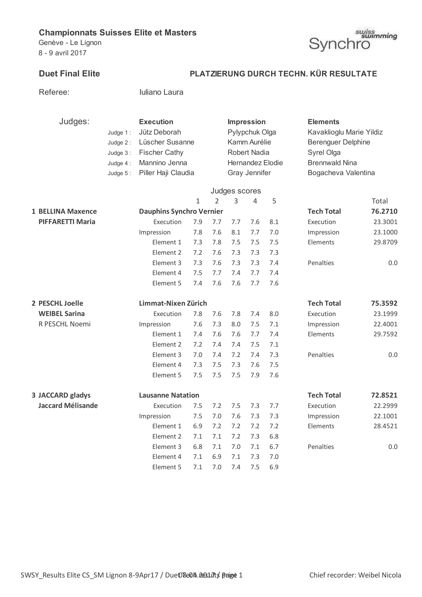Referee: Iuliano Laura

Genève - Le Lignon 8 - 9 avril 2017



## **Duet Final Elite PLATZIERUNG DURCH TECHN. KÜR RESULTATE**

| Judges:                  |          | <b>Execution</b>                |         |               |               | <b>Impression</b>   |                  | <b>Elements</b>           |         |  |
|--------------------------|----------|---------------------------------|---------|---------------|---------------|---------------------|------------------|---------------------------|---------|--|
|                          | Judge 1: | Jütz Deborah                    |         |               |               | Pylypchuk Olga      |                  | Kavaklioglu Marie Yildiz  |         |  |
|                          | Judge 2: | Lüscher Susanne                 |         |               |               | Kamm Aurélie        |                  | <b>Berenguer Delphine</b> |         |  |
|                          | Judge 3: | <b>Fischer Cathy</b>            |         |               |               | <b>Robert Nadia</b> |                  | Syrel Olga                |         |  |
|                          | Judge 4: | Mannino Jenna                   |         |               |               |                     | Hernandez Elodie | <b>Brennwald Nina</b>     |         |  |
|                          | Judge 5: | Piller Haji Claudia             |         |               |               | Gray Jennifer       |                  | Bogacheva Valentina       |         |  |
|                          |          |                                 |         |               |               |                     |                  |                           |         |  |
|                          |          |                                 |         |               | Judges scores |                     |                  |                           |         |  |
|                          |          |                                 | 1       | $\mathcal{P}$ | 3             | 4                   | 5                |                           | Total   |  |
| <b>1 BELLINA Maxence</b> |          | <b>Dauphins Synchro Vernier</b> |         |               |               |                     |                  | <b>Tech Total</b>         | 76.2710 |  |
| <b>PIFFARETTI Maria</b>  |          | Execution                       | 7.9     | 7.7           | 7.7           | 7.6                 | 8.1              | Execution                 | 23.3001 |  |
|                          |          | Impression                      | 7.8     | 7.6           | 8.1           | 7.7                 | 7.0              | Impression                | 23.1000 |  |
|                          |          | Element 1                       | 7.3     | 7.8           | 7.5           | 7.5                 | 7.5              | Elements                  | 29.8709 |  |
|                          |          | Element 2                       | 7.2     | 7.6           | 7.3           | 7.3                 | 7.3              |                           |         |  |
|                          |          | Element 3                       | 7.3     | 7.6           | 7.3           | 7.3                 | 7.4              | Penalties                 | 0.0     |  |
|                          |          | Element 4                       | 7.5     | 7.7           | 7.4           | 7.7                 | 7.4              |                           |         |  |
|                          |          | Element 5                       | 7.4     | 7.6           | 7.6           | 7.7                 | 7.6              |                           |         |  |
| 2 PESCHL Joelle          |          | Limmat-Nixen Zürich             |         |               |               |                     |                  | <b>Tech Total</b>         | 75.3592 |  |
| <b>WEIBEL Sarina</b>     |          | Execution                       | 7.8     | 7.6           | 7.8           | 7.4                 | 8.0              | Execution                 | 23.1999 |  |
| R PESCHL Noemi           |          | Impression                      | 7.6     | 7.3           | 8.0           | 7.5                 | 7.1              | Impression                | 22.4001 |  |
|                          |          | Element 1                       | 7.4     | 7.6           | 7.6           | 7.7                 | 7.4              | Elements                  | 29.7592 |  |
|                          |          | Element 2                       | 7.2     | 7.4           | 7.4           | 7.5                 | 7.1              |                           |         |  |
|                          |          | Element 3                       | 7.0     | 7.4           | 7.2           | 7.4                 | 7.3              | Penalties                 | 0.0     |  |
|                          |          | Element 4                       | 7.3     | 7.5           | 7.3           | 7.6                 | 7.5              |                           |         |  |
|                          |          | Element 5                       | 7.5     | 7.5           | 7.5           | 7.9                 | 7.6              |                           |         |  |
| 3 JACCARD gladys         |          | <b>Lausanne Natation</b>        |         |               |               |                     |                  | <b>Tech Total</b>         | 72.8521 |  |
| <b>Jaccard Mélisande</b> |          | Execution                       | 7.5     | 7.2           | 7.5           | 7.3                 | 7.7              | Execution                 | 22.2999 |  |
|                          |          | Impression                      | $7.5$   | $7.0$         | 7.6           | 7.3                 | 7.3              | Impression                | 22.1001 |  |
|                          |          | Element 1                       | 6.9     | 7.2           | 7.2           | 7.2                 | 7.2              | Elements                  | 28.4521 |  |
|                          |          | Element 2                       | 7.1     | $7.1\,$       | 7.2           | 7.3                 | 6.8              |                           |         |  |
|                          |          | Element 3                       | 6.8     | 7.1           | 7.0           | 7.1                 | 6.7              | Penalties                 | $0.0\,$ |  |
|                          |          | Element 4                       | $7.1\,$ | 6.9           | $7.1\,$       | 7.3                 | 7.0              |                           |         |  |
|                          |          | Element 5                       | 7.1     | $7.0$         | 7.4           | 7.5                 | 6.9              |                           |         |  |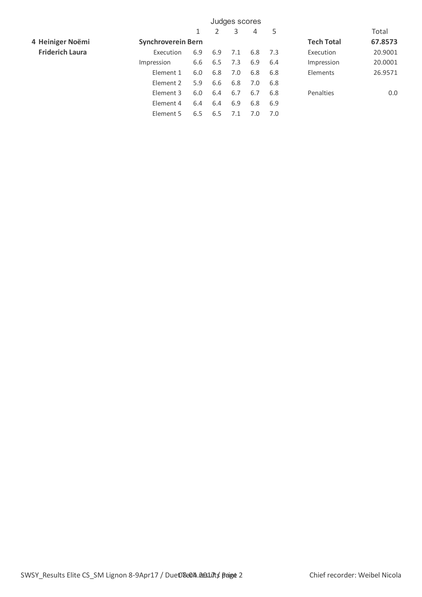|                        | Judges scores             |     |     |     |     |     |                   |         |  |
|------------------------|---------------------------|-----|-----|-----|-----|-----|-------------------|---------|--|
|                        |                           | 1   | 2   | 3   | 4   | 5   |                   | Total   |  |
| 4 Heiniger Noëmi       | <b>Synchroverein Bern</b> |     |     |     |     |     | <b>Tech Total</b> | 67.8573 |  |
| <b>Friderich Laura</b> | Execution                 | 6.9 | 6.9 | 7.1 | 6.8 | 7.3 | Execution         | 20.9001 |  |
|                        | Impression                | 6.6 | 6.5 | 7.3 | 6.9 | 6.4 | Impression        | 20.0001 |  |
|                        | Element 1                 | 6.0 | 6.8 | 7.0 | 6.8 | 6.8 | Elements          | 26.9571 |  |
|                        | Element 2                 | 5.9 | 6.6 | 6.8 | 7.0 | 6.8 |                   |         |  |
|                        | Element 3                 | 6.0 | 6.4 | 6.7 | 6.7 | 6.8 | Penalties         | 0.0     |  |
|                        | Element 4                 | 6.4 | 6.4 | 6.9 | 6.8 | 6.9 |                   |         |  |
|                        | Element 5                 | 6.5 | 6.5 | 7.1 | 7.0 | 7.0 |                   |         |  |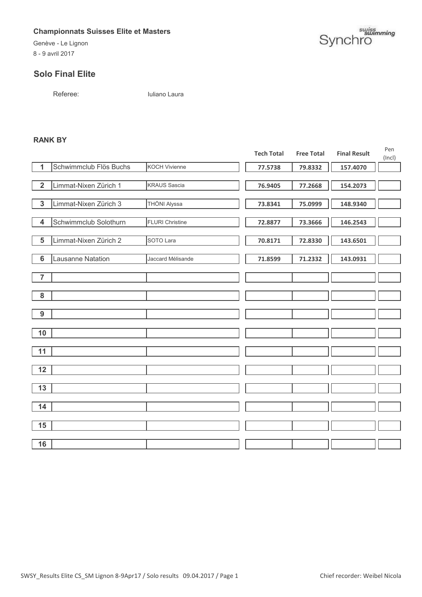Genève - Le Lignon 8 - 9 avril 2017

#### **Solo Final Elite**

Referee: Iuliano Laura

#### **RANK BY**

|                 |                        |                        | <b>Tech Total</b> | <b>Free Total</b> | <b>Final Result</b> | Pen<br>(Incl) |
|-----------------|------------------------|------------------------|-------------------|-------------------|---------------------|---------------|
| 1               | Schwimmclub Flös Buchs | <b>KOCH Vivienne</b>   | 77.5738           | 79.8332           | 157.4070            |               |
|                 |                        |                        |                   |                   |                     |               |
| $\overline{2}$  | Limmat-Nixen Zürich 1  | <b>KRAUS Sascia</b>    | 76.9405           | 77.2668           | 154.2073            |               |
|                 |                        |                        |                   |                   |                     |               |
| $\overline{3}$  | Limmat-Nixen Zürich 3  | THÖNI Alyssa           | 73.8341           | 75.0999           | 148.9340            |               |
| $\overline{4}$  | Schwimmclub Solothurn  | <b>FLURI Christine</b> |                   |                   | 146.2543            |               |
|                 |                        |                        | 72.8877           | 73.3666           |                     |               |
| $\overline{5}$  | Limmat-Nixen Zürich 2  | SOTO Lara              | 70.8171           | 72.8330           | 143.6501            |               |
|                 |                        |                        |                   |                   |                     |               |
| $6\phantom{1}6$ | Lausanne Natation      | Jaccard Mélisande      | 71.8599           | 71.2332           | 143.0931            |               |
|                 |                        |                        |                   |                   |                     |               |
| $\overline{7}$  |                        |                        |                   |                   |                     |               |
| ${\bf 8}$       |                        |                        |                   |                   |                     |               |
|                 |                        |                        |                   |                   |                     |               |
| 9               |                        |                        |                   |                   |                     |               |
|                 |                        |                        |                   |                   |                     |               |
| 10              |                        |                        |                   |                   |                     |               |
|                 |                        |                        |                   |                   |                     |               |
| 11              |                        |                        |                   |                   |                     |               |
|                 |                        |                        |                   |                   |                     |               |
| 12              |                        |                        |                   |                   |                     |               |
| 13              |                        |                        |                   |                   |                     |               |
|                 |                        |                        |                   |                   |                     |               |
| 14              |                        |                        |                   |                   |                     |               |
|                 |                        |                        |                   |                   |                     |               |
| 15              |                        |                        |                   |                   |                     |               |
|                 |                        |                        |                   |                   |                     |               |
| 16              |                        |                        |                   |                   |                     |               |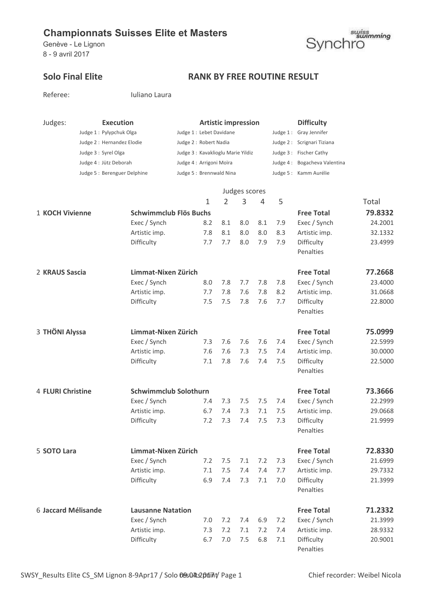Genève - Le Lignon 8 - 9 avril 2017



Referee: Iuliano Laura

## Solo Final Elite **RANK BY FREE ROUTINE RESULT**

| Judges:             | <b>Execution</b>            |                               | <b>Artistic impression</b>        |                          |                |               |     |     | <b>Difficulty</b>            |         |
|---------------------|-----------------------------|-------------------------------|-----------------------------------|--------------------------|----------------|---------------|-----|-----|------------------------------|---------|
|                     | Judge 1: Pylypchuk Olga     |                               |                                   | Judge 1 : Lebet Davidane |                |               |     |     | Judge 1: Gray Jennifer       |         |
|                     | Judge 2 : Hernandez Elodie  |                               | Judge 2: Robert Nadia             |                          |                |               |     |     | Judge 2: Scrignari Tiziana   |         |
|                     | Judge 3 : Syrel Olga        |                               | Judge 3: Kavaklioglu Marie Yildiz |                          |                |               |     |     | Judge 3: Fischer Cathy       |         |
|                     | Judge 4 : Jütz Deborah      |                               | Judge 4: Arrigoni Moïra           |                          |                |               |     |     | Judge 4: Bogacheva Valentina |         |
|                     | Judge 5: Berenguer Delphine |                               | Judge 5: Brennwald Nina           |                          |                |               |     |     | Judge 5 : Kamm Aurélie       |         |
|                     |                             |                               |                                   |                          |                |               |     |     |                              |         |
|                     |                             |                               |                                   |                          |                | Judges scores |     |     |                              |         |
|                     |                             |                               |                                   | 1                        | $\overline{2}$ | 3             | 4   | 5   |                              | Total   |
| 1 KOCH Vivienne     |                             | <b>Schwimmclub Flös Buchs</b> |                                   |                          |                |               |     |     | <b>Free Total</b>            | 79.8332 |
|                     |                             | Exec / Synch                  |                                   | 8.2                      | 8.1            | 8.0           | 8.1 | 7.9 | Exec / Synch                 | 24.2001 |
|                     |                             | Artistic imp.                 |                                   | 7.8                      | 8.1            | 8.0           | 8.0 | 8.3 | Artistic imp.                | 32.1332 |
|                     |                             | Difficulty                    |                                   | 7.7                      | 7.7            | 8.0           | 7.9 | 7.9 | Difficulty                   | 23.4999 |
|                     |                             |                               |                                   |                          |                |               |     |     | Penalties                    |         |
| 2 KRAUS Sascia      |                             | Limmat-Nixen Zürich           |                                   |                          |                |               |     |     | <b>Free Total</b>            | 77.2668 |
|                     |                             | Exec / Synch                  |                                   | 8.0                      | 7.8            | 7.7           | 7.8 | 7.8 | Exec / Synch                 | 23.4000 |
|                     |                             | Artistic imp.                 |                                   | 7.7                      | 7.8            | 7.6           | 7.8 | 8.2 | Artistic imp.                | 31.0668 |
|                     |                             | Difficulty                    |                                   | 7.5                      | 7.5            | 7.8           | 7.6 | 7.7 | Difficulty                   | 22.8000 |
|                     |                             |                               |                                   |                          |                |               |     |     | Penalties                    |         |
| 3 THÖNI Alyssa      |                             | Limmat-Nixen Zürich           |                                   |                          |                |               |     |     | <b>Free Total</b>            | 75.0999 |
|                     |                             |                               |                                   | 7.3                      | 7.6            | 7.6           | 7.6 | 7.4 |                              | 22.5999 |
|                     |                             | Exec / Synch<br>Artistic imp. |                                   | 7.6                      | 7.6            | 7.3           | 7.5 | 7.4 | Exec / Synch                 | 30.0000 |
|                     |                             | Difficulty                    |                                   | 7.1                      | 7.8            | 7.6           | 7.4 | 7.5 | Artistic imp.<br>Difficulty  | 22.5000 |
|                     |                             |                               |                                   |                          |                |               |     |     | Penalties                    |         |
|                     |                             |                               |                                   |                          |                |               |     |     |                              |         |
| 4 FLURI Christine   |                             | <b>Schwimmclub Solothurn</b>  |                                   |                          |                |               |     |     | <b>Free Total</b>            | 73.3666 |
|                     |                             | Exec / Synch                  |                                   | 7.4                      | 7.3            | 7.5           | 7.5 | 7.4 | Exec / Synch                 | 22.2999 |
|                     |                             | Artistic imp.                 |                                   | 6.7                      | 7.4            | 7.3           | 7.1 | 7.5 | Artistic imp.                | 29.0668 |
|                     |                             | Difficulty                    |                                   | 7.2                      | 7.3            | 7.4           | 7.5 | 7.3 | Difficulty                   | 21.9999 |
|                     |                             |                               |                                   |                          |                |               |     |     | Penalties                    |         |
| 5 SOTO Lara         |                             | Limmat-Nixen Zürich           |                                   |                          |                |               |     |     | <b>Free Total</b>            | 72.8330 |
|                     |                             | Exec / Synch                  |                                   | 7.2                      | 7.5            | 7.1           | 7.2 | 7.3 | Exec / Synch                 | 21.6999 |
|                     |                             | Artistic imp.                 |                                   | 7.1                      | 7.5            | 7.4           | 7.4 | 7.7 | Artistic imp.                | 29.7332 |
|                     |                             | Difficulty                    |                                   | 6.9                      | 7.4            | 7.3           | 7.1 | 7.0 | Difficulty                   | 21.3999 |
|                     |                             |                               |                                   |                          |                |               |     |     | Penalties                    |         |
| 6 Jaccard Mélisande |                             | <b>Lausanne Natation</b>      |                                   |                          |                |               |     |     | <b>Free Total</b>            | 71.2332 |
|                     |                             | Exec / Synch                  |                                   | 7.0                      | 7.2            | 7.4           | 6.9 | 7.2 | Exec / Synch                 | 21.3999 |
|                     |                             | Artistic imp.                 |                                   | 7.3                      | 7.2            | 7.1           | 7.2 | 7.4 | Artistic imp.                | 28.9332 |
|                     |                             | Difficulty                    |                                   | 6.7                      | 7.0            | 7.5           | 6.8 | 7.1 | Difficulty                   | 20.9001 |
|                     |                             |                               |                                   |                          |                |               |     |     | Penalties                    |         |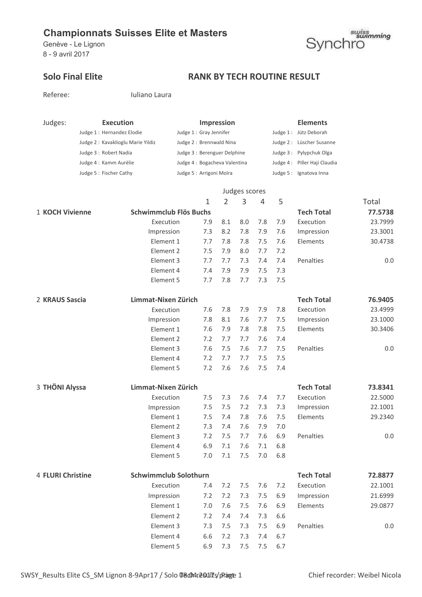Genève - Le Lignon 8 - 9 avril 2017



## Solo Final Elite **RANK BY TECH ROUTINE RESULT**

| Referee:          |                            | Iuliano Laura                     |                     |                              |                   |               |     |                   |                              |         |
|-------------------|----------------------------|-----------------------------------|---------------------|------------------------------|-------------------|---------------|-----|-------------------|------------------------------|---------|
| Judges:           |                            | <b>Execution</b>                  |                     |                              | <b>Impression</b> |               |     |                   | <b>Elements</b>              |         |
|                   | Judge 1 : Hernandez Elodie |                                   |                     | Judge 1: Gray Jennifer       |                   |               |     |                   | Judge 1: Jütz Deborah        |         |
|                   |                            | Judge 2: Kavaklioglu Marie Yildiz |                     | Judge 2: Brennwald Nina      |                   |               |     |                   | Judge 2 : Lüscher Susanne    |         |
|                   | Judge 3 : Robert Nadia     |                                   |                     | Judge 3 : Berenguer Delphine |                   |               |     |                   | Judge 3: Pylypchuk Olga      |         |
|                   | Judge 4 : Kamm Aurélie     |                                   |                     | Judge 4: Bogacheva Valentina |                   |               |     |                   | Judge 4: Piller Haji Claudia |         |
|                   | Judge 5: Fischer Cathy     |                                   |                     | Judge 5 : Arrigoni Moïra     |                   |               |     |                   | Judge 5 : Ignatova Inna      |         |
|                   |                            |                                   |                     |                              |                   | Judges scores |     |                   |                              |         |
|                   |                            |                                   |                     | 1                            | 2                 | 3             | 4   | 5                 |                              | Total   |
| 1 KOCH Vivienne   |                            | Schwimmclub Flös Buchs            |                     |                              |                   |               |     |                   | <b>Tech Total</b>            | 77.5738 |
|                   |                            | Execution                         |                     | 7.9                          | 8.1               | 8.0           | 7.8 | 7.9               | Execution                    | 23.7999 |
|                   |                            | Impression                        |                     | 7.3                          | 8.2               | 7.8           | 7.9 | 7.6               | Impression                   | 23.3001 |
|                   |                            | Element 1                         |                     | 7.7                          | 7.8               | 7.8           | 7.5 | 7.6               | Elements                     | 30.4738 |
|                   |                            | Element 2                         |                     | 7.5                          | 7.9               | 8.0           | 7.7 | 7.2               |                              |         |
|                   |                            | Element 3                         |                     | 7.7                          | 7.7               | 7.3           | 7.4 | 7.4               | Penalties                    | 0.0     |
|                   |                            | Element 4                         |                     | 7.4                          | 7.9               | 7.9           | 7.5 | 7.3               |                              |         |
|                   |                            | Element 5                         |                     | 7.7                          | 7.8               | 7.7           | 7.3 | 7.5               |                              |         |
| 2 KRAUS Sascia    |                            | Limmat-Nixen Zürich               |                     |                              |                   |               |     |                   | <b>Tech Total</b>            | 76.9405 |
|                   |                            | Execution                         |                     | 7.6                          | 7.8               | 7.9           | 7.9 | 7.8               | Execution                    | 23.4999 |
|                   |                            | Impression                        |                     | 7.8                          | 8.1               | 7.6           | 7.7 | 7.5               | Impression                   | 23.1000 |
|                   |                            | Element 1                         |                     | 7.6                          | 7.9               | 7.8           | 7.8 | 7.5               | Elements                     | 30.3406 |
|                   |                            | Element 2                         |                     | 7.2                          | 7.7               | 7.7           | 7.6 | 7.4               |                              |         |
|                   |                            | Element 3                         |                     | 7.6                          | 7.5               | 7.6           | 7.7 | 7.5               | Penalties                    | 0.0     |
|                   |                            | Element 4                         |                     | 7.2                          | 7.7               | 7.7           | 7.5 | 7.5               |                              |         |
|                   |                            | Element 5                         |                     | 7.2                          | 7.6               | 7.6           | 7.5 | 7.4               |                              |         |
| 3 THÖNI Alyssa    |                            |                                   | Limmat-Nixen Zürich |                              |                   |               |     | <b>Tech Total</b> | 73.8341                      |         |
|                   |                            | Execution                         |                     | 7.5                          | 7.3               | 7.6           | 7.4 | 7.7               | Execution                    | 22.5000 |
|                   |                            | Impression                        |                     | 7.5                          | 7.5               | 7.2           | 7.3 | 7.3               | Impression                   | 22.1001 |
|                   |                            | Element 1                         |                     | 7.5                          | 7.4               | 7.8           | 7.6 | 7.5               | Elements                     | 29.2340 |
|                   |                            | Element 2                         |                     | 7.3                          | 7.4               | 7.6           | 7.9 | 7.0               |                              |         |
|                   |                            | Element 3                         |                     | 7.2                          | 7.5               | 7.7           | 7.6 | 6.9               | Penalties                    | 0.0     |
|                   |                            | Element 4                         |                     | 6.9                          | 7.1               | 7.6           | 7.1 | 6.8               |                              |         |
|                   |                            | Element 5                         |                     | 7.0                          | 7.1               | 7.5           | 7.0 | 6.8               |                              |         |
| 4 FLURI Christine |                            | <b>Schwimmclub Solothurn</b>      |                     |                              |                   |               |     |                   | <b>Tech Total</b>            | 72.8877 |
|                   |                            | Execution                         |                     | 7.4                          | 7.2               | 7.5           | 7.6 | 7.2               | Execution                    | 22.1001 |
|                   |                            | Impression                        |                     | 7.2                          | 7.2               | 7.3           | 7.5 | 6.9               | Impression                   | 21.6999 |
|                   |                            | Element 1                         |                     | 7.0                          | 7.6               | 7.5           | 7.6 | 6.9               | Elements                     | 29.0877 |
|                   |                            | Element 2                         |                     | 7.2                          | 7.4               | 7.4           | 7.3 | 6.6               |                              |         |
|                   |                            | Element 3                         |                     | 7.3                          | 7.5               | 7.3           | 7.5 | 6.9               | Penalties                    | 0.0     |
|                   |                            | Element 4                         |                     | 6.6                          | 7.2               | 7.3           | 7.4 | 6.7               |                              |         |
|                   |                            | Element 5                         |                     | 6.9                          | 7.3               | 7.5           | 7.5 | 6.7               |                              |         |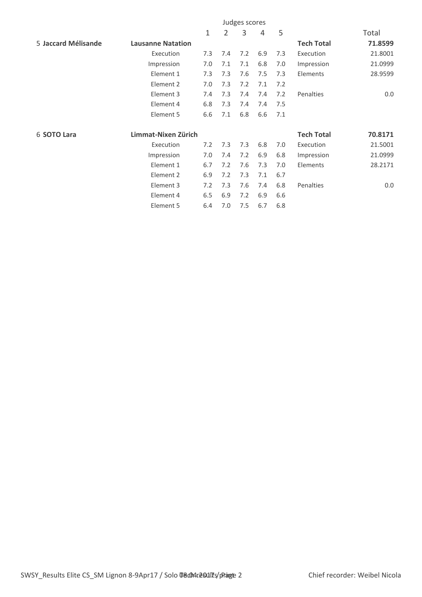|                     |                          |     |                | Judges scores |     |     |                   |         |
|---------------------|--------------------------|-----|----------------|---------------|-----|-----|-------------------|---------|
|                     |                          | 1   | $\overline{2}$ | 3             | 4   | 5   |                   | Total   |
| 5 Jaccard Mélisande | <b>Lausanne Natation</b> |     |                |               |     |     | <b>Tech Total</b> | 71.8599 |
|                     | Execution                | 7.3 | 7.4            | 7.2           | 6.9 | 7.3 | Execution         | 21.8001 |
|                     | Impression               | 7.0 | 7.1            | 7.1           | 6.8 | 7.0 | Impression        | 21.0999 |
|                     | Element 1                | 7.3 | 7.3            | 7.6           | 7.5 | 7.3 | Elements          | 28.9599 |
|                     | Element 2                | 7.0 | 7.3            | 7.2           | 7.1 | 7.2 |                   |         |
|                     | Element 3                | 7.4 | 7.3            | 7.4           | 7.4 | 7.2 | Penalties         | 0.0     |
|                     | Element 4                | 6.8 | 7.3            | 7.4           | 7.4 | 7.5 |                   |         |
|                     | Element 5                | 6.6 | 7.1            | 6.8           | 6.6 | 7.1 |                   |         |
| 6 SOTO Lara         | Limmat-Nixen Zürich      |     |                |               |     |     | <b>Tech Total</b> | 70.8171 |
|                     | Execution                | 7.2 | 7.3            | 7.3           | 6.8 | 7.0 | Execution         | 21.5001 |
|                     | Impression               | 7.0 | 7.4            | 7.2           | 6.9 | 6.8 | Impression        | 21.0999 |
|                     | Element 1                | 6.7 | 7.2            | 7.6           | 7.3 | 7.0 | Elements          | 28.2171 |
|                     | Element 2                | 6.9 | 7.2            | 7.3           | 7.1 | 6.7 |                   |         |
|                     | Element 3                | 7.2 | 7.3            | 7.6           | 7.4 | 6.8 | Penalties         | 0.0     |
|                     | Element 4                | 6.5 | 6.9            | 7.2           | 6.9 | 6.6 |                   |         |
|                     | Element 5                | 6.4 | 7.0            | 7.5           | 6.7 | 6.8 |                   |         |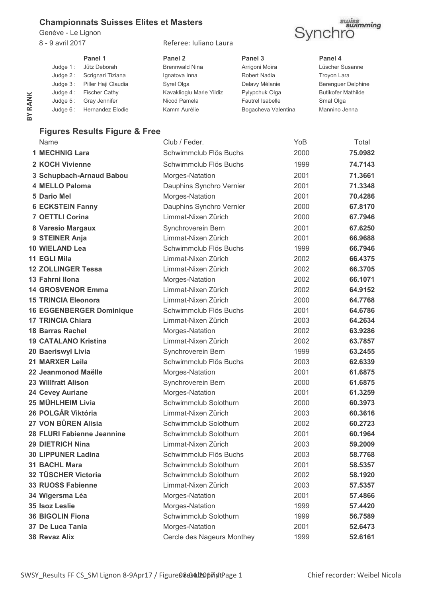Genève - Le Lignon

8 - 9 avril 2017 Referee: Iuliano Laura



**Panel 1 Panel 2 Panel 3 Panel 4** Judge 1 : Jütz Deborah **Brennwald Nina** Arrigoni Moïra Lüscher Susanne Judge 2 : Scrignari Tiziana Ignatova Inna Robert Nadia Troyon Lara Judge 3 : Piller Haji Claudia Manus Syrel Olga Nashvid Delavy Mélanie Berenguer Delphine Judge 4: Fischer Cathy **Kavaklioglu Marie Yildiz** Pylypchuk Olga Butikofer Mathilde Judge 5 : Gray Jennifer Nicod Pamela Fautrel Isabelle Smal Olga Judge 6 : Hernandez Elodie Kamm Aurélie Bogacheva Valentina Mannino Jenna

### **Figures Results Figure & Free**

| BY RANK | Juuye 4 .<br><b>FISCHEL CALLY</b><br>Gray Jennifer<br>Judge $5:$ | KavaKilogiu Marie Tiluiz<br>Nicod Pamela     | Fylypoliuk Olya<br><b>Fautrel Isabelle</b> | puunuel Maulliue<br>Smal Olga |
|---------|------------------------------------------------------------------|----------------------------------------------|--------------------------------------------|-------------------------------|
|         | Hernandez Elodie<br>Judge $6:$                                   | Kamm Aurélie                                 | Bogacheva Valentina                        | Mannino Jenna                 |
|         |                                                                  |                                              |                                            |                               |
|         | <b>Figures Results Figure &amp; Free</b>                         |                                              |                                            |                               |
|         | Name                                                             | Club / Feder.                                | YoB.                                       | Total                         |
|         | <b>1 MECHNIG Lara</b>                                            | Schwimmclub Flös Buchs                       | 2000                                       | 75.0982                       |
|         | 2 KOCH Vivienne                                                  | Schwimmclub Flös Buchs                       | 1999                                       | 74.7143                       |
|         | 3 Schupbach-Arnaud Babou                                         | Morges-Natation                              | 2001                                       | 71.3661                       |
|         | <b>4 MELLO Paloma</b>                                            | Dauphins Synchro Vernier                     | 2001                                       | 71.3348                       |
|         | <b>5 Dario Mel</b>                                               | Morges-Natation                              | 2001                                       | 70.4286                       |
|         | <b>6 ECKSTEIN Fanny</b>                                          | Dauphins Synchro Vernier                     | 2000                                       | 67.8170                       |
|         | <b>7 OETTLI Corina</b>                                           | Limmat-Nixen Zürich                          | 2000                                       | 67.7946                       |
|         | 8 Varesio Margaux                                                | Synchroverein Bern                           | 2001                                       | 67.6250                       |
|         | 9 STEINER Anja                                                   | Limmat-Nixen Zürich                          | 2001                                       | 66.9688                       |
|         | <b>10 WIELAND Lea</b>                                            | Schwimmclub Flös Buchs                       | 1999                                       | 66.7946                       |
|         | <b>11 EGLI Mila</b>                                              | Limmat-Nixen Zürich                          | 2002                                       | 66.4375                       |
|         | <b>12 ZOLLINGER Tessa</b>                                        | Limmat-Nixen Zürich                          | 2002                                       | 66,3705                       |
|         | 13 Fahrni Ilona                                                  | Morges-Natation                              | 2002                                       | 66.1071                       |
|         | <b>14 GROSVENOR Emma</b>                                         | Limmat-Nixen Zürich                          | 2002                                       | 64.9152                       |
|         | <b>15 TRINCIA Eleonora</b>                                       | Limmat-Nixen Zürich                          | 2000                                       | 64.7768                       |
|         | <b>16 EGGENBERGER Dominique</b>                                  | Schwimmclub Flös Buchs                       | 2001                                       | 64.6786                       |
|         | <b>17 TRINCIA Chiara</b>                                         | Limmat-Nixen Zürich                          | 2003                                       | 64.2634                       |
|         | <b>18 Barras Rachel</b>                                          | Morges-Natation                              | 2002                                       | 63.9286                       |
|         | <b>19 CATALANO Kristina</b>                                      | Limmat-Nixen Zürich                          | 2002                                       | 63.7857                       |
|         | 20 Baeriswyl Livia                                               | Synchroverein Bern                           | 1999                                       | 63.2455                       |
|         | 21 MARXER Leila                                                  | Schwimmclub Flös Buchs                       | 2003                                       | 62.6339                       |
|         | 22 Jeanmonod Maëlle                                              | Morges-Natation                              | 2001                                       | 61.6875                       |
|         | <b>23 Willfratt Alison</b>                                       | Synchroverein Bern                           | 2000                                       | 61.6875                       |
|         | 24 Cevey Auriane                                                 | Morges-Natation                              | 2001                                       | 61.3259                       |
|         | 25 MÜHLHEIM Livia                                                | Schwimmclub Solothurn                        | 2000                                       | 60.3973                       |
|         | 26 POLGÁR Viktória                                               | Limmat-Nixen Zürich                          | 2003                                       | 60.3616                       |
|         | 27 VON BÜREN Alisia                                              | Schwimmclub Solothurn                        | 2002                                       | 60.2723                       |
|         | 28 FLURI Fabienne Jeannine                                       | Schwimmclub Solothurn                        | 2001                                       | 60.1964                       |
|         | <b>29 DIETRICH Nina</b>                                          | Limmat-Nixen Zürich                          | 2003                                       | 59.2009                       |
|         | <b>30 LIPPUNER Ladina</b>                                        | Schwimmclub Flös Buchs                       | 2003                                       | 58.7768                       |
|         | <b>31 BACHL Mara</b>                                             | Schwimmclub Solothurn                        | 2001                                       | 58.5357                       |
|         | 32 TÜSCHER Victoria                                              | Schwimmclub Solothurn<br>Limmat-Nixen Zürich | 2002                                       | 58.1920                       |
|         | <b>33 RUOSS Fabienne</b>                                         |                                              | 2003                                       | 57.5357                       |
|         | 34 Wigersma Léa                                                  | Morges-Natation                              | 2001                                       | 57.4866                       |
|         | 35 Isoz Leslie                                                   | Morges-Natation                              | 1999                                       | 57.4420                       |
|         | <b>36 BIGOLIN Fiona</b>                                          | Schwimmclub Solothurn                        | 1999                                       | 56.7589                       |
|         | 37 De Luca Tania                                                 | Morges-Natation                              | 2001                                       | 52.6473                       |
|         | 38 Revaz Alix                                                    | Cercle des Nageurs Monthey                   | 1999                                       | 52.6161                       |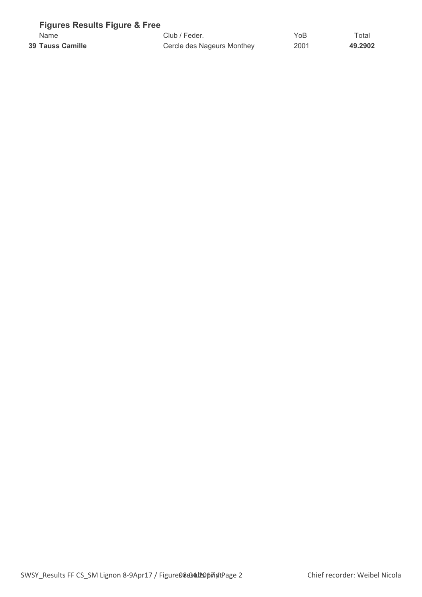| <b>Figures Results Figure &amp; Free</b> |                            |      |             |
|------------------------------------------|----------------------------|------|-------------|
| Name                                     | Club / Feder.              | YoB  | $\tau$ otal |
| 39 Tauss Camille                         | Cercle des Nageurs Monthey | 2001 | 49.2902     |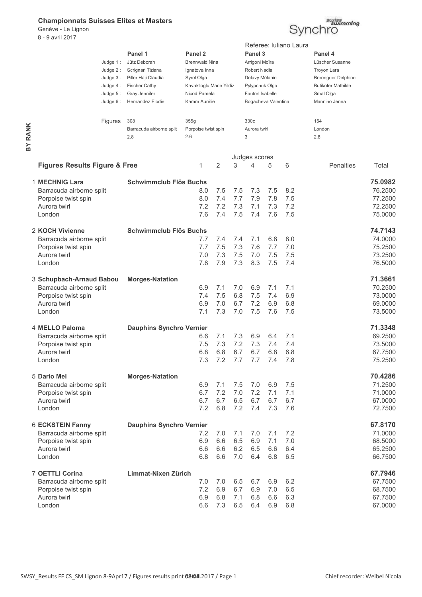Genève - Le Lignon 8 - 9 avril 2017



|         |                                                                                                       | Judge $1:$<br>Judge $2:$<br>Judge 3:<br>Judge 4:<br>Judge $5:$<br>Judge $6:$ | Panel 1<br>Jütz Deborah<br>Scrignari Tiziana<br>Piller Haji Claudia<br><b>Fischer Cathy</b><br>Gray Jennifer<br>Hernandez Elodie | Panel <sub>2</sub><br><b>Brennwald Nina</b><br>Ignatova Inna<br>Syrel Olga<br>Kavaklioglu Marie Yildiz<br>Nicod Pamela<br>Kamm Aurélie |                          |                          | Panel 3<br>Arrigoni Moïra<br>Robert Nadia<br>Delavy Mélanie<br>Pylypchuk Olga<br><b>Fautrel Isabelle</b><br>Bogacheva Valentina |                          | Referee: Iuliano Laura   | Panel 4<br>Lüscher Susanne<br>Troyon Lara<br>Berenguer Delphine<br><b>Butikofer Mathilde</b><br>Smal Olga<br>Mannino Jenna |                                                     |
|---------|-------------------------------------------------------------------------------------------------------|------------------------------------------------------------------------------|----------------------------------------------------------------------------------------------------------------------------------|----------------------------------------------------------------------------------------------------------------------------------------|--------------------------|--------------------------|---------------------------------------------------------------------------------------------------------------------------------|--------------------------|--------------------------|----------------------------------------------------------------------------------------------------------------------------|-----------------------------------------------------|
| BY RANK |                                                                                                       | Figures                                                                      | 308<br>Barracuda airborne split<br>2.8                                                                                           | 355g<br>Porpoise twist spin<br>2.6                                                                                                     |                          |                          | 330c<br>Aurora twirl<br>3                                                                                                       |                          |                          | 154<br>London<br>2.8                                                                                                       |                                                     |
|         |                                                                                                       |                                                                              |                                                                                                                                  |                                                                                                                                        |                          |                          | Judges scores                                                                                                                   |                          |                          |                                                                                                                            |                                                     |
|         | <b>Figures Results Figure &amp; Free</b>                                                              |                                                                              |                                                                                                                                  | 1                                                                                                                                      | 2                        | 3                        | 4                                                                                                                               | 5                        | 6                        | Penalties                                                                                                                  | Total                                               |
|         | 1 MECHNIG Lara<br>Barracuda airborne split<br>Porpoise twist spin<br>Aurora twirl<br>London           |                                                                              | <b>Schwimmclub Flös Buchs</b>                                                                                                    | 8.0<br>8.0<br>7.2<br>7.6                                                                                                               | 7.5<br>7.4<br>7.2<br>7.4 | 7.5<br>7.7<br>7.3<br>7.5 | 7.3<br>7.9<br>7.1<br>7.4                                                                                                        | 7.5<br>7.8<br>7.3<br>7.6 | 8.2<br>7.5<br>7.2<br>7.5 |                                                                                                                            | 75.0982<br>76.2500<br>77.2500<br>72.2500<br>75.0000 |
|         | 2 KOCH Vivienne<br>Barracuda airborne split<br>Porpoise twist spin<br>Aurora twirl<br>London          |                                                                              | <b>Schwimmclub Flös Buchs</b>                                                                                                    | 7.7<br>7.7<br>7.0<br>7.8                                                                                                               | 7.4<br>7.5<br>7.3<br>7.9 | 7.4<br>7.3<br>7.5<br>7.3 | 7.1<br>7.6<br>7.0<br>8.3                                                                                                        | 6.8<br>7.7<br>7.5<br>7.5 | 8.0<br>7.0<br>7.5<br>7.4 |                                                                                                                            | 74.7143<br>74.0000<br>75.2500<br>73.2500<br>76.5000 |
|         | 3 Schupbach-Arnaud Babou<br>Barracuda airborne split<br>Porpoise twist spin<br>Aurora twirl<br>London |                                                                              | <b>Morges-Natation</b>                                                                                                           | 6.9<br>7.4<br>6.9<br>7.1                                                                                                               | 7.1<br>7.5<br>7.0<br>7.3 | 7.0<br>6.8<br>6.7<br>7.0 | 6.9<br>7.5<br>7.2<br>7.5                                                                                                        | 7.1<br>7.4<br>6.9<br>7.6 | 7.1<br>6.9<br>6.8<br>7.5 |                                                                                                                            | 71.3661<br>70.2500<br>73.0000<br>69.0000<br>73.5000 |
|         | 4 MELLO Paloma<br>Barracuda airborne split<br>Porpoise twist spin<br>Aurora twirl<br>London           |                                                                              | <b>Dauphins Synchro Vernier</b>                                                                                                  | 6.6<br>7.5<br>6.8                                                                                                                      | 7.1<br>7.3<br>6.8        | 7.3<br>7.2<br>6.7        | 6.9<br>7.3<br>6.7<br>7.2 7.7 7.7 7.4 7.8                                                                                        | 6.4<br>7.4<br>6.8        | 7.1<br>7.4<br>6.8        |                                                                                                                            | 71.3348<br>69.2500<br>73.5000<br>67.7500<br>75.2500 |
|         | 5 Dario Mel<br>Barracuda airborne split<br>Porpoise twist spin<br>Aurora twirl<br>London              |                                                                              | <b>Morges-Natation</b>                                                                                                           | 6.9<br>6.7<br>6.7<br>7.2                                                                                                               | 7.1<br>7.2<br>6.7<br>6.8 | 7.5<br>7.0<br>6.5<br>7.2 | 7.0<br>7.2<br>6.7<br>7.4                                                                                                        | 6.9<br>7.1<br>6.7<br>7.3 | 7.5<br>7.1<br>6.7<br>7.6 |                                                                                                                            | 70.4286<br>71.2500<br>71.0000<br>67.0000<br>72.7500 |
|         | <b>6 ECKSTEIN Fanny</b><br>Barracuda airborne split<br>Porpoise twist spin<br>Aurora twirl<br>London  |                                                                              | <b>Dauphins Synchro Vernier</b>                                                                                                  | 7.2<br>6.9<br>6.6<br>6.8                                                                                                               | 7.0<br>6.6<br>6.6<br>6.6 | 7.1<br>6.5<br>6.2<br>7.0 | 7.0<br>6.9<br>6.5<br>6.4                                                                                                        | 7.1<br>7.1<br>6.6<br>6.8 | 7.2<br>7.0<br>6.4<br>6.5 |                                                                                                                            | 67.8170<br>71.0000<br>68.5000<br>65.2500<br>66.7500 |
|         | 7 OETTLI Corina<br>Barracuda airborne split<br>Porpoise twist spin<br>Aurora twirl<br>London          |                                                                              | Limmat-Nixen Zürich                                                                                                              | 7.0<br>7.2<br>6.9<br>6.6                                                                                                               | 7.0<br>6.9<br>6.8<br>7.3 | 6.5<br>6.7<br>7.1<br>6.5 | 6.7<br>6.9<br>6.8<br>6.4                                                                                                        | 6.9<br>7.0<br>6.6<br>6.9 | 6.2<br>6.5<br>6.3<br>6.8 |                                                                                                                            | 67.7946<br>67.7500<br>68.7500<br>67.7500<br>67.0000 |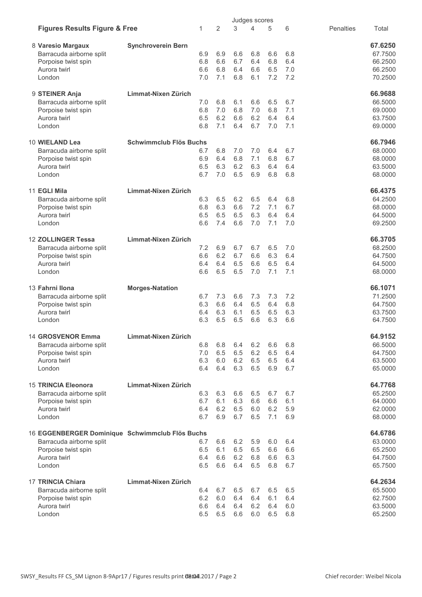|                                                 |                               |            |                |     | Judges scores |     |     |           |         |
|-------------------------------------------------|-------------------------------|------------|----------------|-----|---------------|-----|-----|-----------|---------|
| <b>Figures Results Figure &amp; Free</b>        |                               | 1          | $\overline{2}$ | 3   | 4             | 5   | 6   | Penalties | Total   |
| 8 Varesio Margaux                               | <b>Synchroverein Bern</b>     |            |                |     |               |     |     |           | 67.6250 |
| Barracuda airborne split                        |                               | 6.9        | 6.9            | 6.6 | 6.8           | 6.6 | 6.8 |           | 67.7500 |
| Porpoise twist spin                             |                               | 6.8        | 6.6            | 6.7 | 6.4           | 6.8 | 6.4 |           | 66.2500 |
| Aurora twirl                                    |                               | 6.6        | 6.8            | 6.4 | 6.6           | 6.5 | 7.0 |           | 66.2500 |
| London                                          |                               | 7.0        | 7.1            | 6.8 | 6.1           | 7.2 | 7.2 |           | 70.2500 |
| 9 STEINER Anja                                  | Limmat-Nixen Zürich           |            |                |     |               |     |     |           | 66.9688 |
| Barracuda airborne split                        |                               | 7.0        | 6.8            | 6.1 | 6.6           | 6.5 | 6.7 |           | 66.5000 |
| Porpoise twist spin                             |                               | 6.8        | 7.0            | 6.8 | 7.0           | 6.8 | 7.1 |           | 69.0000 |
| Aurora twirl                                    |                               | 6.5        | 6.2            | 6.6 | 6.2           | 6.4 | 6.4 |           | 63.7500 |
| London                                          |                               | 6.8        | 7.1            | 6.4 | 6.7           | 7.0 | 7.1 |           | 69.0000 |
| 10 WIELAND Lea                                  | <b>Schwimmclub Flös Buchs</b> |            |                |     |               |     |     |           | 66.7946 |
| Barracuda airborne split                        |                               | 6.7        | 6.8            | 7.0 | 7.0           | 6.4 | 6.7 |           | 68,0000 |
| Porpoise twist spin                             |                               | 6.9        | 6.4            | 6.8 | 7.1           | 6.8 | 6.7 |           | 68.0000 |
| Aurora twirl                                    |                               | 6.5        | 6.3            | 6.2 | 6.3           | 6.4 | 6.4 |           | 63.5000 |
| London                                          |                               | 6.7        | 7.0            | 6.5 | 6.9           | 6.8 | 6.8 |           | 68.0000 |
| 11 EGLI Mila                                    | Limmat-Nixen Zürich           |            |                |     |               |     |     |           | 66.4375 |
| Barracuda airborne split                        |                               | 6.3        | 6.5            | 6.2 | 6.5           | 6.4 | 6.8 |           | 64.2500 |
| Porpoise twist spin                             |                               | 6.8        | 6.3            | 6.6 | 7.2           | 7.1 | 6.7 |           | 68.0000 |
| Aurora twirl                                    |                               | 6.5        | 6.5            | 6.5 | 6.3           | 6.4 | 6.4 |           | 64.5000 |
| London                                          |                               | 6.6        | 7.4            | 6.6 | 7.0           | 7.1 | 7.0 |           | 69.2500 |
| 12 ZOLLINGER Tessa                              | Limmat-Nixen Zürich           |            |                |     |               |     |     |           | 66.3705 |
| Barracuda airborne split                        |                               | 7.2        | 6.9            | 6.7 | 6.7           | 6.5 | 7.0 |           | 68.2500 |
| Porpoise twist spin                             |                               | 6.6        | 6.2            | 6.7 | 6.6           | 6.3 | 6.4 |           | 64.7500 |
| Aurora twirl                                    |                               | 6.4        | 6.4            | 6.5 | 6.6           | 6.5 | 6.4 |           | 64.5000 |
| London                                          |                               | 6.6        | 6.5            | 6.5 | 7.0           | 7.1 | 7.1 |           | 68.0000 |
| 13 Fahrni Ilona                                 | <b>Morges-Natation</b>        |            |                |     |               |     |     |           | 66.1071 |
| Barracuda airborne split                        |                               | 6.7        | 7.3            | 6.6 | 7.3           | 7.3 | 7.2 |           | 71.2500 |
| Porpoise twist spin                             |                               | 6.3        | 6.6            | 6.4 | 6.5           | 6.4 | 6.8 |           | 64.7500 |
| Aurora twirl                                    |                               | 6.4        | 6.3            | 6.1 | 6.5           | 6.5 | 6.3 |           | 63.7500 |
| London                                          |                               | 6.3        | 6.5            | 6.5 | 6.6           | 6.3 | 6.6 |           | 64.7500 |
| 14 GROSVENOR Emma                               | Limmat-Nixen Zürich           |            |                |     |               |     |     |           | 64.9152 |
| Barracuda airborne split                        |                               | 6.8        | 6.8            | 6.4 | 6.2           | 6.6 | 6.8 |           | 66.5000 |
| Porpoise twist spin                             |                               | 7.0        | 6.5            | 6.5 | 6.2           | 6.5 | 6.4 |           | 64.7500 |
| Aurora twirl                                    |                               | 6.3        | 6.0            | 6.2 | 6.5           | 6.5 | 6.4 |           | 63.5000 |
| London                                          |                               | 6.4        | 6.4            | 6.3 | 6.5           | 6.9 | 6.7 |           | 65.0000 |
| 15 TRINCIA Eleonora                             | Limmat-Nixen Zürich           |            |                |     |               |     |     |           | 64.7768 |
| Barracuda airborne split                        |                               | 6.3        | 6.3            | 6.6 | 6.5           | 6.7 | 6.7 |           | 65.2500 |
| Porpoise twist spin                             |                               | 6.7        | 6.1            | 6.3 | 6.6           | 6.6 | 6.1 |           | 64.0000 |
| Aurora twirl                                    |                               | 6.4        | 6.2            | 6.5 | 6.0           | 6.2 | 5.9 |           | 62.0000 |
| London                                          |                               | 6.7        | 6.9            | 6.7 | 6.5           | 7.1 | 6.9 |           | 68.0000 |
| 16 EGGENBERGER Dominique Schwimmclub Flös Buchs |                               |            |                |     |               |     |     |           | 64.6786 |
| Barracuda airborne split                        |                               | 6.7        | 6.6            | 6.2 | 5.9           | 6.0 | 6.4 |           | 63.0000 |
| Porpoise twist spin                             |                               | 6.5        | 6.1            | 6.5 | 6.5           | 6.6 | 6.6 |           | 65.2500 |
| Aurora twirl                                    |                               | 6.4        | 6.6            | 6.2 | 6.8           | 6.6 | 6.3 |           | 64.7500 |
| London                                          |                               | 6.5        | 6.6            | 6.4 | 6.5           | 6.8 | 6.7 |           | 65.7500 |
| <b>17 TRINCIA Chiara</b>                        | Limmat-Nixen Zürich           |            |                |     |               |     |     |           | 64.2634 |
| Barracuda airborne split                        |                               | 6.4        | 6.7            | 6.5 | 6.7           | 6.5 | 6.5 |           | 65.5000 |
| Porpoise twist spin                             |                               | 6.2        | 6.0            | 6.4 | 6.4           | 6.1 | 6.4 |           | 62.7500 |
| Aurora twirl                                    |                               | 6.6<br>6.5 | 6.4            | 6.4 | 6.2           | 6.4 | 6.0 |           | 63.5000 |
| London                                          |                               |            | 6.5            | 6.6 | 6.0           | 6.5 | 6.8 |           | 65.2500 |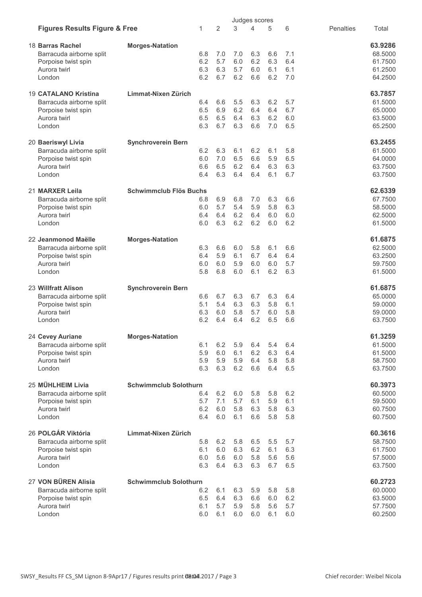|                                          |                               |            |                |            | Judges scores |            |            |                  |                    |
|------------------------------------------|-------------------------------|------------|----------------|------------|---------------|------------|------------|------------------|--------------------|
| <b>Figures Results Figure &amp; Free</b> |                               | 1          | $\overline{2}$ | 3          | 4             | 5          | 6          | <b>Penalties</b> | Total              |
| 18 Barras Rachel                         | <b>Morges-Natation</b>        |            |                |            |               |            |            |                  | 63.9286            |
| Barracuda airborne split                 |                               | 6.8        | 7.0            | 7.0        | 6.3           | 6.6        | 7.1        |                  | 68.5000            |
| Porpoise twist spin                      |                               | 6.2        | 5.7            | 6.0        | 6.2           | 6.3        | 6.4        |                  | 61.7500            |
| Aurora twirl                             |                               | 6.3        | 6.3            | 5.7        | 6.0           | 6.1        | 6.1        |                  | 61.2500            |
| London                                   |                               | 6.2        | 6.7            | 6.2        | 6.6           | 6.2        | 7.0        |                  | 64.2500            |
| 19 CATALANO Kristina                     | Limmat-Nixen Zürich           |            |                |            |               |            |            |                  | 63.7857            |
| Barracuda airborne split                 |                               | 6.4        | 6.6            | 5.5        | 6.3           | 6.2        | 5.7        |                  | 61.5000            |
| Porpoise twist spin                      |                               | 6.5        | 6.9            | 6.2        | 6.4           | 6.4        | 6.7        |                  | 65.0000            |
| Aurora twirl                             |                               | 6.5        | 6.5            | 6.4        | 6.3           | 6.2        | 6.0        |                  | 63.5000            |
| London                                   |                               | 6.3        | 6.7            | 6.3        | 6.6           | 7.0        | 6.5        |                  | 65.2500            |
| 20 Baeriswyl Livia                       | <b>Synchroverein Bern</b>     |            |                |            |               |            |            |                  | 63.2455            |
| Barracuda airborne split                 |                               | 6.2        | 6.3            | 6.1        | 6.2           | 6.1        | 5.8        |                  | 61.5000            |
| Porpoise twist spin                      |                               | 6.0        | 7.0            | 6.5        | 6.6           | 5.9        | 6.5        |                  | 64.0000            |
| Aurora twirl                             |                               | 6.6        | 6.5            | 6.2        | 6.4           | 6.3        | 6.3        |                  | 63.7500            |
| London                                   |                               | 6.4        | 6.3            | 6.4        | 6.4           | 6.1        | 6.7        |                  | 63.7500            |
| 21 MARXER Leila                          | <b>Schwimmclub Flös Buchs</b> |            |                |            |               |            |            |                  | 62.6339            |
| Barracuda airborne split                 |                               | 6.8        | 6.9            | 6.8        | 7.0           | 6.3        | 6.6        |                  | 67.7500            |
| Porpoise twist spin                      |                               | 6.0        | 5.7            | 5.4        | 5.9           | 5.8        | 6.3        |                  | 58.5000            |
| Aurora twirl                             |                               | 6.4        | 6.4            | 6.2        | 6.4           | 6.0        | 6.0        |                  | 62.5000            |
| London                                   |                               | 6.0        | 6.3            | 6.2        | 6.2           | 6.0        | 6.2        |                  | 61.5000            |
| 22 Jeanmonod Maëlle                      | <b>Morges-Natation</b>        |            |                |            |               |            |            |                  | 61.6875            |
| Barracuda airborne split                 |                               | 6.3        | 6.6            | 6.0        | 5.8           | 6.1        | 6.6        |                  | 62.5000            |
| Porpoise twist spin                      |                               | 6.4        | 5.9            | 6.1        | 6.7           | 6.4        | 6.4        |                  | 63.2500            |
| Aurora twirl                             |                               | 6.0        | 6.0            | 5.9        | 6.0           | 6.0        | 5.7        |                  | 59.7500            |
| London                                   |                               | 5.8        | 6.8            | 6.0        | 6.1           | 6.2        | 6.3        |                  | 61.5000            |
| 23 Willfratt Alison                      | <b>Synchroverein Bern</b>     |            |                |            |               |            |            |                  | 61.6875            |
| Barracuda airborne split                 |                               | 6.6        | 6.7            | 6.3        | 6.7           | 6.3        | 6.4        |                  | 65.0000            |
| Porpoise twist spin                      |                               | 5.1        | 5.4            | 6.3        | 6.3           | 5.8        | 6.1        |                  | 59.0000            |
| Aurora twirl                             |                               | 6.3        | 6.0            | 5.8        | 5.7           | 6.0        | 5.8        |                  | 59.0000            |
| London                                   |                               | 6.2        | 6.4            | 6.4        | 6.2           | 6.5        | 6.6        |                  | 63.7500            |
| 24 Cevey Auriane                         | <b>Morges-Natation</b>        |            |                |            |               |            |            |                  | 61.3259            |
| Barracuda airborne split                 |                               | 6.1        | 6.2            | 5.9        | 6.4           | 5.4        | 6.4        |                  | 61.5000            |
| Porpoise twist spin                      |                               | 5.9        | 6.0            | 6.1        | 6.2           | 6.3        | 6.4        |                  | 61.5000            |
| Aurora twirl                             |                               | 5.9        | 5.9            | 5.9        | 6.4           | 5.8        | 5.8        |                  | 58.7500            |
| London                                   |                               | 6.3        | 6.3            | 6.2        | 6.6           | 6.4        | 6.5        |                  | 63.7500            |
| 25 MÜHLHEIM Livia                        | <b>Schwimmclub Solothurn</b>  |            |                |            |               |            |            |                  | 60.3973            |
| Barracuda airborne split                 |                               | 6.4        | 6.2            | 6.0        | 5.8           | 5.8        | 6.2        |                  | 60.5000            |
| Porpoise twist spin                      |                               | 5.7        | 7.1            | 5.7        | 6.1           | 5.9        | 6.1        |                  | 59.5000            |
| Aurora twirl                             |                               | 6.2        | 6.0            | 5.8        | 6.3           | 5.8        | 6.3        |                  | 60.7500            |
| London                                   |                               | 6.4        | 6.0            | 6.1        | 6.6           | 5.8        | 5.8        |                  | 60.7500            |
| 26 POLGÁR Viktória                       | Limmat-Nixen Zürich           |            |                |            |               |            |            |                  | 60.3616            |
| Barracuda airborne split                 |                               | 5.8        | 6.2            | 5.8        | 6.5           | 5.5        | 5.7        |                  | 58.7500            |
| Porpoise twist spin                      |                               | 6.1        | 6.0            | 6.3        | 6.2           | 6.1        | 6.3        |                  | 61.7500            |
| Aurora twirl                             |                               | 6.0        | 5.6            | 6.0        | 5.8           | 5.6        | 5.6        |                  | 57.5000            |
| London                                   |                               | 6.3        | 6.4            | 6.3        | 6.3           | 6.7        | 6.5        |                  | 63.7500            |
| 27 VON BÜREN Alisia                      | <b>Schwimmclub Solothurn</b>  |            |                |            |               |            |            |                  | 60.2723            |
| Barracuda airborne split                 |                               | 6.2        | 6.1            | 6.3        | 5.9           | 5.8        | 5.8        |                  | 60.0000            |
| Porpoise twist spin<br>Aurora twirl      |                               | 6.5<br>6.1 | 6.4<br>5.7     | 6.3<br>5.9 | 6.6           | 6.0        | 6.2        |                  | 63.5000            |
| London                                   |                               | 6.0        | 6.1            | 6.0        | 5.8<br>6.0    | 5.6<br>6.1 | 5.7<br>6.0 |                  | 57.7500<br>60.2500 |
|                                          |                               |            |                |            |               |            |            |                  |                    |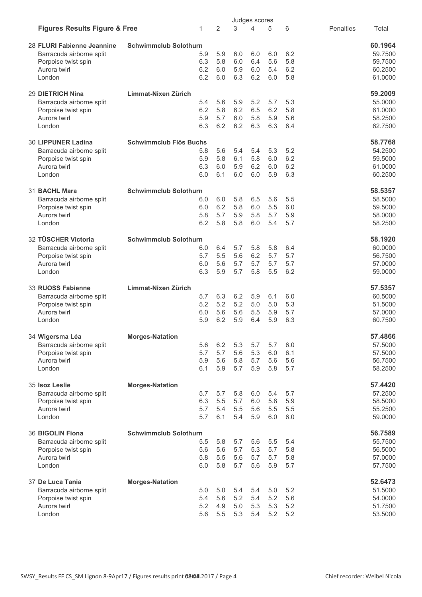|                                          |                               |            |            |            | Judges scores |            |            |                  |                    |
|------------------------------------------|-------------------------------|------------|------------|------------|---------------|------------|------------|------------------|--------------------|
| <b>Figures Results Figure &amp; Free</b> |                               | 1          | 2          | 3          | 4             | 5          | 6          | <b>Penalties</b> | Total              |
| 28 FLURI Fabienne Jeannine               | <b>Schwimmclub Solothurn</b>  |            |            |            |               |            |            |                  | 60.1964            |
| Barracuda airborne split                 |                               | 5.9        | 5.9        | 6.0        | 6.0           | 6.0        | 6.2        |                  | 59.7500            |
| Porpoise twist spin                      |                               | 6.3        | 5.8        | 6.0        | 6.4           | 5.6        | 5.8        |                  | 59.7500            |
| Aurora twirl                             |                               | 6.2        | 6.0        | 5.9        | 6.0           | 5.4        | 6.2        |                  | 60.2500            |
| London                                   |                               | 6.2        | 6.0        | 6.3        | 6.2           | 6.0        | 5.8        |                  | 61.0000            |
|                                          |                               |            |            |            |               |            |            |                  |                    |
| <b>29 DIETRICH Nina</b>                  | Limmat-Nixen Zürich           |            |            |            |               |            |            |                  | 59.2009            |
| Barracuda airborne split                 |                               | 5.4        | 5.6        | 5.9        | 5.2           | 5.7        | 5.3        |                  | 55.0000            |
| Porpoise twist spin                      |                               | 6.2        | 5.8        | 6.2        | 6.5           | 6.2        | 5.8        |                  | 61.0000            |
| Aurora twirl                             |                               | 5.9        | 5.7        | 6.0        | 5.8           | 5.9        | 5.6        |                  | 58.2500            |
| London                                   |                               | 6.3        | 6.2        | 6.2        | 6.3           | 6.3        | 6.4        |                  | 62.7500            |
| <b>30 LIPPUNER Ladina</b>                | <b>Schwimmclub Flös Buchs</b> |            |            |            |               |            |            |                  | 58.7768            |
| Barracuda airborne split                 |                               | 5.8        | 5.6        | 5.4        | 5.4           | 5.3        | 5.2        |                  | 54.2500            |
| Porpoise twist spin                      |                               | 5.9        | 5.8        | 6.1        | 5.8           | 6.0        | 6.2        |                  | 59.5000            |
| Aurora twirl                             |                               | 6.3        | 6.0        | 5.9        | 6.2           | 6.0        | 6.2        |                  | 61.0000            |
| London                                   |                               | 6.0        | 6.1        | 6.0        | 6.0           | 5.9        | 6.3        |                  | 60.2500            |
| 31 BACHL Mara                            | <b>Schwimmclub Solothurn</b>  |            |            |            |               |            |            |                  | 58.5357            |
| Barracuda airborne split                 |                               | 6.0        | 6.0        | 5.8        | 6.5           | 5.6        | 5.5        |                  | 58.5000            |
| Porpoise twist spin                      |                               | 6.0        | 6.2        | 5.8        | 6.0           | 5.5        | 6.0        |                  | 59.5000            |
| Aurora twirl                             |                               | 5.8        | 5.7        | 5.9        | 5.8           | 5.7        | 5.9        |                  | 58.0000            |
| London                                   |                               | 6.2        | 5.8        | 5.8        | 6.0           | 5.4        | 5.7        |                  | 58.2500            |
| 32 TÜSCHER Victoria                      |                               |            |            |            |               |            |            |                  |                    |
|                                          | <b>Schwimmclub Solothurn</b>  |            |            |            |               |            |            |                  | 58.1920            |
| Barracuda airborne split                 |                               | 6.0        | 6.4        | 5.7        | 5.8           | 5.8        | 6.4        |                  | 60.0000            |
| Porpoise twist spin                      |                               | 5.7        | 5.5        | 5.6        | 6.2           | 5.7        | 5.7        |                  | 56.7500            |
| Aurora twirl<br>London                   |                               | 6.0<br>6.3 | 5.6<br>5.9 | 5.7<br>5.7 | 5.7<br>5.8    | 5.7<br>5.5 | 5.7<br>6.2 |                  | 57.0000<br>59.0000 |
|                                          |                               |            |            |            |               |            |            |                  |                    |
| 33 RUOSS Fabienne                        | Limmat-Nixen Zürich           |            |            |            |               |            |            |                  | 57.5357            |
| Barracuda airborne split                 |                               | 5.7        | 6.3        | 6.2        | 5.9           | 6.1        | 6.0        |                  | 60.5000            |
| Porpoise twist spin                      |                               | 5.2        | 5.2        | 5.2        | 5.0           | 5.0        | 5.3        |                  | 51.5000            |
| Aurora twirl                             |                               | 6.0        | 5.6        | 5.6        | 5.5           | 5.9        | 5.7        |                  | 57.0000            |
| London                                   |                               | 5.9        | 6.2        | 5.9        | 6.4           | 5.9        | 6.3        |                  | 60.7500            |
| 34 Wigersma Léa                          | <b>Morges-Natation</b>        |            |            |            |               |            |            |                  | 57.4866            |
| Barracuda airborne split                 |                               | 5.6        | 6.2        | 5.3        | 5.7           | 5.7        | 6.0        |                  | 57.5000            |
| Porpoise twist spin                      |                               | 5.7        | 5.7        | 5.6        | 5.3           | 6.0        | 6.1        |                  | 57.5000            |
| Aurora twirl                             |                               | 5.9        | 5.6        | 5.8        | 5.7           | 5.6        | 5.6        |                  | 56.7500            |
| London                                   |                               | 6.1        | 5.9        | 5.7        | 5.9           | 5.8        | 5.7        |                  | 58.2500            |
| 35 Isoz Leslie                           | <b>Morges-Natation</b>        |            |            |            |               |            |            |                  | 57.4420            |
| Barracuda airborne split                 |                               | 5.7        | 5.7        | 5.8        | 6.0           | 5.4        | 5.7        |                  | 57.2500            |
| Porpoise twist spin                      |                               | 6.3        | 5.5        | 5.7        | 6.0           | 5.8        | 5.9        |                  | 58.5000            |
| Aurora twirl                             |                               | 5.7        | 5.4        | 5.5        | 5.6           | 5.5        | 5.5        |                  | 55.2500            |
| London                                   |                               | 5.7        | 6.1        | 5.4        | 5.9           | 6.0        | 6.0        |                  | 59.0000            |
|                                          |                               |            |            |            |               |            |            |                  |                    |
| 36 BIGOLIN Fiona                         | <b>Schwimmclub Solothurn</b>  |            |            |            |               |            |            |                  | 56.7589            |
| Barracuda airborne split                 |                               | 5.5        | 5.8        | 5.7        | 5.6           | 5.5        | 5.4        |                  | 55.7500            |
| Porpoise twist spin                      |                               | 5.6        | 5.6        | 5.7        | 5.3           | 5.7        | 5.8        |                  | 56.5000            |
| Aurora twirl<br>London                   |                               | 5.8<br>6.0 | 5.5<br>5.8 | 5.6<br>5.7 | 5.7<br>5.6    | 5.7<br>5.9 | 5.8<br>5.7 |                  | 57.0000<br>57.7500 |
|                                          |                               |            |            |            |               |            |            |                  |                    |
| 37 De Luca Tania                         | <b>Morges-Natation</b>        |            |            |            |               |            |            |                  | 52.6473            |
| Barracuda airborne split                 |                               | 5.0<br>5.4 | 5.0        | 5.4<br>5.2 | 5.4<br>5.4    | 5.0        | 5.2        |                  | 51.5000            |
| Porpoise twist spin<br>Aurora twirl      |                               | 5.2        | 5.6<br>4.9 | 5.0        | 5.3           | 5.2<br>5.3 | 5.6<br>5.2 |                  | 54.0000            |
| London                                   |                               | 5.6        | 5.5        | 5.3        | 5.4           | 5.2        | 5.2        |                  | 51.7500<br>53.5000 |
|                                          |                               |            |            |            |               |            |            |                  |                    |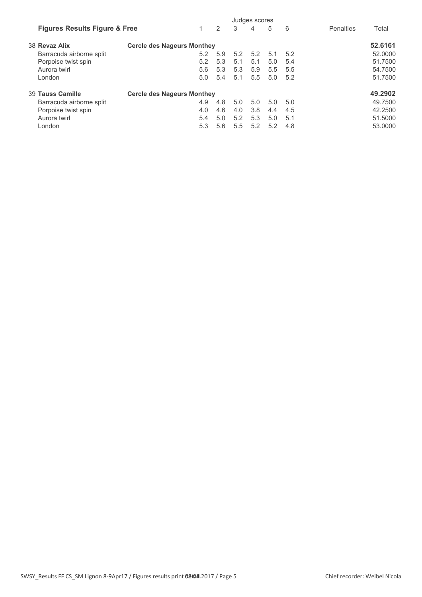|                                          |                                   |     |     |     | Judges scores |     |     |                    |
|------------------------------------------|-----------------------------------|-----|-----|-----|---------------|-----|-----|--------------------|
| <b>Figures Results Figure &amp; Free</b> |                                   |     | 2   | 3   | 4             | 5   | 6   | Penalties<br>Total |
| 38 Revaz Alix                            | <b>Cercle des Nageurs Monthey</b> |     |     |     |               |     |     | 52.6161            |
| Barracuda airborne split                 |                                   | 5.2 | 5.9 | 5.2 | 5.2           | 5.1 | 5.2 | 52.0000            |
| Porpoise twist spin                      |                                   | 5.2 | 5.3 | 5.1 | 5.1           | 5.0 | 5.4 | 51.7500            |
| Aurora twirl                             |                                   | 5.6 | 5.3 | 5.3 | 5.9           | 5.5 | 5.5 | 54.7500            |
| London                                   |                                   | 5.0 | 5.4 | 5.1 | 5.5           | 5.0 | 5.2 | 51.7500            |
| 39 Tauss Camille                         | <b>Cercle des Nageurs Monthey</b> |     |     |     |               |     |     | 49.2902            |
| Barracuda airborne split                 |                                   | 4.9 | 4.8 | 5.0 | 5.0           | 5.0 | 5.0 | 49.7500            |
| Porpoise twist spin                      |                                   | 4.0 | 4.6 | 4.0 | 3.8           | 4.4 | 4.5 | 42.2500            |
| Aurora twirl                             |                                   | 5.4 | 5.0 | 5.2 | 5.3           | 5.0 | 5.1 | 51.5000            |
| London                                   |                                   | 5.3 | 5.6 | 5.5 | 5.2           | 5.2 | 4.8 | 53.0000            |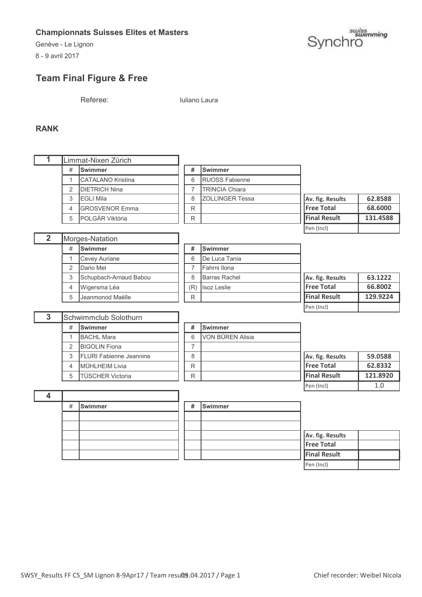Genève - Le Lignon

8 - 9 avril 2017



# **Team Final Figure & Free**

Referee: Iuliano Laura

### **RANK**

|   |   | Limmat-Nixen Zürich      |   |                         |                     |          |
|---|---|--------------------------|---|-------------------------|---------------------|----------|
|   | # | <b>Swimmer</b>           | # | <b>ISwimmer</b>         |                     |          |
|   |   | <b>CATALANO Kristina</b> | 6 | <b>RUOSS Fabienne</b>   |                     |          |
|   | 2 | <b>DIETRICH Nina</b>     |   | <b>TRINCIA Chiara</b>   |                     |          |
|   | 3 | <b>EGLI Mila</b>         | 8 | <b>IZOLLINGER Tessa</b> | Av. fig. Results    | 62.8588  |
|   | 4 | <b>IGROSVENOR Emma</b>   | R |                         | <b>IFree Total</b>  | 68.6000  |
|   | 5 | POLGÁR Viktória          | R |                         | <b>Final Result</b> | 131.4588 |
|   |   |                          |   |                         | Pen (Incl)          |          |
| າ |   | IMargon Natation         |   |                         |                     |          |

| $\overline{\mathbf{2}}$ |   | Morges-Natation        |     |                    |
|-------------------------|---|------------------------|-----|--------------------|
|                         | # | <b>Swimmer</b>         | #   | Swimmer            |
|                         |   | <b>Cevey Auriane</b>   | 6   | <b>I</b> De Luca T |
|                         | 2 | Dario Mel              |     | <b>Fahrni</b> Ilor |
|                         | 3 | Schupbach-Arnaud Babou | 8   | <b>Barras Ra</b>   |
|                         | 4 | Wigersma Léa           | (R) | <b>Isoz Leslie</b> |
|                         | 5 | Jeanmonod Maëlle       | R   |                    |

|   | orges-Natation         |     |                      |                     |          |
|---|------------------------|-----|----------------------|---------------------|----------|
| # | <b>Swimmer</b>         | #   | <b>Swimmer</b>       |                     |          |
| 1 | <b>Cevey Auriane</b>   | 6   | De Luca Tania        |                     |          |
| 2 | Dario Mel              |     | Fahrni Ilona         |                     |          |
| 3 | Schupbach-Arnaud Babou | 8   | <b>Barras Rachel</b> | Av. fig. Results    | 63.1222  |
|   | 4  Wigersma Léa        | (R) | <b>Isoz Leslie</b>   | <b>Free Total</b>   | 66.8002  |
| 5 | Ueanmonod Maëlle       | R   |                      | <b>Final Result</b> | 129.9224 |
|   |                        |     |                      | Pen (Incl)          |          |

| 3 |                | Schwimmclub Solothurn           |   |                  |
|---|----------------|---------------------------------|---|------------------|
|   | #              | <b>Swimmer</b>                  | # | <b>ISwimmer</b>  |
|   |                | <b>BACHL Mara</b>               | 6 | VON BÜREN Alisia |
|   | $\mathfrak{p}$ | <b>BIGOLIN</b> Fiona            |   |                  |
|   | 3              | <b>IFLURI Fabienne Jeannine</b> | 8 |                  |
|   | $\overline{4}$ | MÜHLHEIM Livia                  | R |                  |
|   | 5              | <b>TÜSCHER Victoria</b>         |   |                  |

| ,,             | .                         |   | .                       |                      |          |
|----------------|---------------------------|---|-------------------------|----------------------|----------|
|                | <b>BACHL Mara</b>         | 6 | <b>VON BÜREN Alisia</b> |                      |          |
| $\overline{2}$ | <b>BIGOLIN</b> Fiona      |   |                         |                      |          |
|                | 3 FLURI Fabienne Jeannine | 8 |                         | Av. fig. Results     | 59.0588  |
|                | 4 MÜHLHEIM Livia          | R |                         | <b>Free Total</b>    | 62.8332  |
| 5              | <b>TÜSCHER Victoria</b>   | R |                         | <b>IFinal Result</b> | 121.8920 |
|                |                           |   |                         | Pen (Incl)           | 1.C      |

| # | Swimmer | # | Swimmer |
|---|---------|---|---------|
|   |         |   |         |
|   |         |   |         |
|   |         |   |         |
|   |         |   |         |
|   |         |   |         |

|  | # | <b>Swimmer</b> |                     |  |
|--|---|----------------|---------------------|--|
|  |   |                |                     |  |
|  |   |                |                     |  |
|  |   |                | Av. fig. Results    |  |
|  |   |                | <b>Free Total</b>   |  |
|  |   |                | <b>Final Result</b> |  |
|  |   |                | Pen (Incl)          |  |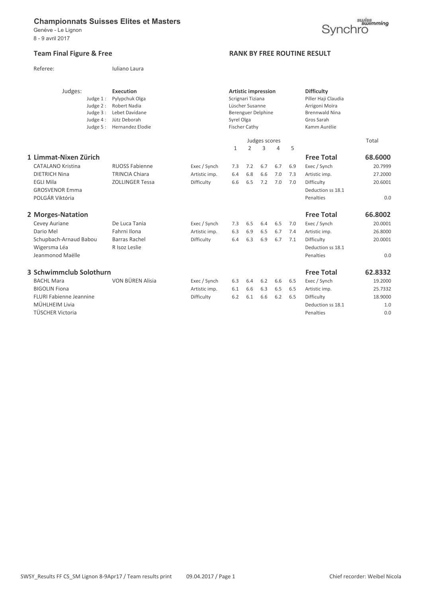Genève - Le Lignon 8 - 9 avril 2017

#### Team Final Figure & Free **RANK BY FREE ROUTINE RESULT**

| Judges:<br>Judge 1:<br>Judge 2:<br>Judge $3:$<br>Judge 4:<br>Judge $5:$ | <b>Execution</b><br>Pylypchuk Olga<br><b>Robert Nadia</b><br>Lebet Davidane<br>Jütz Deborah<br>Hernandez Elodie |               | Syrel Olga   | <b>Artistic impression</b><br>Scrignari Tiziana<br>Lüscher Susanne<br>Berenguer Delphine<br><b>Fischer Cathy</b> |               |     |     | <b>Difficulty</b><br>Piller Haji Claudia<br>Arrigoni Moïra<br><b>Brennwald Nina</b><br>Gros Sarah<br>Kamm Aurélie |         |
|-------------------------------------------------------------------------|-----------------------------------------------------------------------------------------------------------------|---------------|--------------|------------------------------------------------------------------------------------------------------------------|---------------|-----|-----|-------------------------------------------------------------------------------------------------------------------|---------|
|                                                                         |                                                                                                                 |               |              |                                                                                                                  | Judges scores |     |     |                                                                                                                   | Total   |
|                                                                         |                                                                                                                 |               | $\mathbf{1}$ | $\overline{2}$                                                                                                   | 3             | 4   | 5   |                                                                                                                   |         |
| 1 Limmat-Nixen Zürich                                                   |                                                                                                                 |               |              |                                                                                                                  |               |     |     | <b>Free Total</b>                                                                                                 | 68.6000 |
| <b>CATALANO Kristina</b>                                                | <b>RUOSS Fabienne</b>                                                                                           | Exec / Synch  | 7.3          | 7.2                                                                                                              | 6.7           | 6.7 | 6.9 | Exec / Synch                                                                                                      | 20.7999 |
| <b>DIETRICH Nina</b>                                                    | <b>TRINCIA Chiara</b>                                                                                           | Artistic imp. | 6.4          | 6.8                                                                                                              | 6.6           | 7.0 | 7.3 | Artistic imp.                                                                                                     | 27.2000 |
| <b>EGLI Mila</b>                                                        | <b>ZOLLINGER Tessa</b>                                                                                          | Difficulty    | 6.6          | 6.5                                                                                                              | 7.2           | 7.0 | 7.0 | Difficulty                                                                                                        | 20.6001 |
| <b>GROSVENOR Emma</b>                                                   |                                                                                                                 |               |              |                                                                                                                  |               |     |     | Deduction ss 18.1                                                                                                 |         |
| POLGÁR Viktória                                                         |                                                                                                                 |               |              |                                                                                                                  |               |     |     | Penalties                                                                                                         | 0.0     |
| 2 Morges-Natation                                                       |                                                                                                                 |               |              |                                                                                                                  |               |     |     | <b>Free Total</b>                                                                                                 | 66.8002 |
| Cevey Auriane                                                           | De Luca Tania                                                                                                   | Exec / Synch  | 7.3          | 6.5                                                                                                              | 6.4           | 6.5 | 7.0 | Exec / Synch                                                                                                      | 20.0001 |
| Dario Mel                                                               | Fahrni Ilona                                                                                                    | Artistic imp. | 6.3          | 6.9                                                                                                              | 6.5           | 6.7 | 7.4 | Artistic imp.                                                                                                     | 26.8000 |
| Schupbach-Arnaud Babou                                                  | <b>Barras Rachel</b>                                                                                            | Difficulty    | 6.4          | 6.3                                                                                                              | 6.9           | 6.7 | 7.1 | Difficulty                                                                                                        | 20.0001 |
| Wigersma Léa                                                            | R Isoz Leslie                                                                                                   |               |              |                                                                                                                  |               |     |     | Deduction ss 18.1                                                                                                 |         |
| Jeanmonod Maëlle                                                        |                                                                                                                 |               |              |                                                                                                                  |               |     |     | Penalties                                                                                                         | 0.0     |
| 3 Schwimmclub Solothurn                                                 |                                                                                                                 |               |              |                                                                                                                  |               |     |     | <b>Free Total</b>                                                                                                 | 62.8332 |
| <b>BACHL Mara</b>                                                       | VON BÜREN Alisia                                                                                                | Exec / Synch  | 6.3          | 6.4                                                                                                              | 6.2           | 6.6 | 6.5 | Exec / Synch                                                                                                      | 19.2000 |
| <b>BIGOLIN Fiona</b>                                                    |                                                                                                                 | Artistic imp. | 6.1          | 6.6                                                                                                              | 6.3           | 6.5 | 6.5 | Artistic imp.                                                                                                     | 25.7332 |
| FLURI Fabienne Jeannine                                                 |                                                                                                                 | Difficulty    | 6.2          | 6.1                                                                                                              | 6.6           | 6.2 | 6.5 | Difficulty                                                                                                        | 18.9000 |
| MÜHLHEIM Livia                                                          |                                                                                                                 |               |              |                                                                                                                  |               |     |     | Deduction ss 18.1                                                                                                 | 1.0     |
| TÜSCHER Victoria                                                        |                                                                                                                 |               |              |                                                                                                                  |               |     |     | Penalties                                                                                                         | 0.0     |



Referee: Iuliano Laura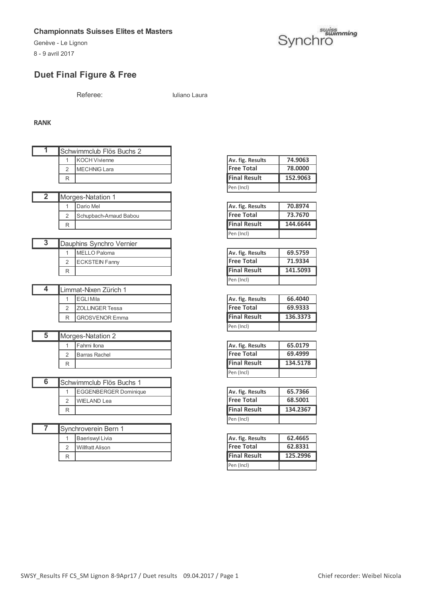8 - 9 avril 2017



## **Duet Final Figure & Free**

Referee: Iuliano Laura

#### **RANK**

| ₹                       |                          | Schwimmclub Flös Buchs 2     |                     |          |
|-------------------------|--------------------------|------------------------------|---------------------|----------|
|                         | 1                        | <b>KOCH Vivienne</b>         | Av. fig. Results    | 74.9063  |
|                         | $\overline{2}$           | <b>MECHNIG Lara</b>          | <b>Free Total</b>   | 78.0000  |
|                         | R                        |                              | <b>Final Result</b> | 152.9063 |
|                         |                          |                              | Pen (Incl)          |          |
| $\overline{2}$          |                          | Morges-Natation 1            |                     |          |
|                         | $\mathbf{1}$             | Dario Mel                    | Av. fig. Results    | 70.8974  |
|                         | $\overline{2}$           | Schupbach-Arnaud Babou       | <b>Free Total</b>   | 73.7670  |
|                         | R                        |                              | <b>Final Result</b> | 144.6644 |
|                         |                          |                              | Pen (Incl)          |          |
| $\overline{\mathbf{3}}$ |                          | Dauphins Synchro Vernier     |                     |          |
|                         | 1                        | <b>MELLO Paloma</b>          | Av. fig. Results    | 69.5759  |
|                         | $\overline{2}$           | <b>ECKSTEIN Fanny</b>        | <b>Free Total</b>   | 71.9334  |
|                         | R                        |                              | <b>Final Result</b> | 141.5093 |
|                         |                          |                              | Pen (Incl)          |          |
| 4                       |                          | Limmat-Nixen Zürich 1        |                     |          |
|                         | 1                        | <b>EGLI Mila</b>             | Av. fig. Results    | 66.4040  |
|                         | $\overline{2}$           | ZOLLINGER Tessa              | <b>Free Total</b>   | 69.9333  |
|                         | R                        | <b>GROSVENOR Emma</b>        | <b>Final Result</b> | 136.3373 |
|                         |                          |                              | Pen (Incl)          |          |
| $\overline{5}$          |                          | Morges-Natation 2            |                     |          |
|                         | 1                        | Fahrni Ilona                 | Av. fig. Results    | 65.0179  |
|                         | $\overline{2}$           | <b>Barras Rachel</b>         | <b>Free Total</b>   | 69.4999  |
|                         | R                        |                              | <b>Final Result</b> | 134.5178 |
|                         |                          |                              | Pen (Incl)          |          |
| 6                       |                          | Schwimmclub Flös Buchs 1     |                     |          |
|                         | 1                        | <b>EGGENBERGER Dominique</b> | Av. fig. Results    | 65.7366  |
|                         | $\overline{2}$           | <b>WIELAND Lea</b>           | <b>Free Total</b>   | 68.5001  |
|                         | R                        |                              | <b>Final Result</b> | 134.2367 |
|                         |                          |                              | Pen (Incl)          |          |
| 7                       |                          | Synchroverein Bern 1         |                     |          |
|                         | $\mathbf{1}$             | <b>Baeriswyl Livia</b>       | Av. fig. Results    | 62.4665  |
|                         | $\overline{2}$           | <b>Willfratt Alison</b>      | <b>Free Total</b>   | 62.8331  |
|                         | $\overline{\phantom{0}}$ |                              | Einel Becult        | 125,2006 |

| Av. fig. Results    | 74.9063  |
|---------------------|----------|
| <b>Free Total</b>   | 78,0000  |
|                     | 152.9063 |
| <b>Final Result</b> |          |

| Av. fig. Results    | 70.8974  |
|---------------------|----------|
| <b>Free Total</b>   | 73.7670  |
| <b>Final Result</b> | 144.6644 |
| Pen (Incl)          |          |

| Av. fig. Results    | 69.5759  |
|---------------------|----------|
| <b>Free Total</b>   | 71.9334  |
| <b>Final Result</b> | 141.5093 |
| Pen (Incl)          |          |

| Av. fig. Results    | 66.4040  |
|---------------------|----------|
| <b>Free Total</b>   | 69.9333  |
|                     |          |
| <b>Final Result</b> | 136.3373 |

| Av. fig. Results    | 65.0179  |
|---------------------|----------|
| <b>Free Total</b>   | 69.4999  |
|                     |          |
| <b>Final Result</b> | 134.5178 |

| Av. fig. Results    | 65.7366  |
|---------------------|----------|
| <b>Free Total</b>   | 68.5001  |
| <b>Final Result</b> | 134.2367 |
| Pen (Incl)          |          |

|        | Baeriswyl Livia  | Av. fig. Results    | 62.4665  |
|--------|------------------|---------------------|----------|
| C<br>∠ | Willfratt Alison | <b>Free Total</b>   | 62.8331  |
| R      |                  | <b>Final Result</b> | 125.2996 |
|        |                  | Pen (Incl)          |          |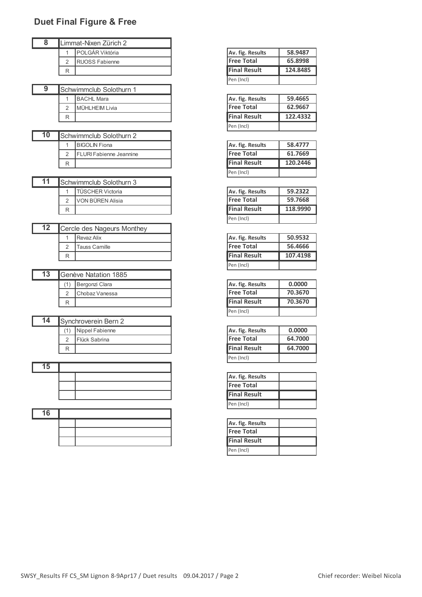# **Duet Final Figure & Free**

| 8 |        | Limmat-Nixen Zürich 2   |                     |          |
|---|--------|-------------------------|---------------------|----------|
|   |        | <b>IPOLGÁR Viktória</b> | Av. fig. Results    | 58.9487  |
|   | $\sim$ | <b>RUOSS Fabienne</b>   | <b>Free Total</b>   | 65.8998  |
|   | R      |                         | <b>Final Result</b> | 124.8485 |
|   |        |                         |                     |          |

|  | <b>ISchwimmclub Solothurn 1</b> |                     |          |
|--|---------------------------------|---------------------|----------|
|  | <b>BACHL Mara</b>               | Av. fig. Results    | 59.4665  |
|  | MÜHLHEIM Livia                  | <b>IFree Total</b>  | 62.9667  |
|  |                                 | <b>Final Result</b> | 122.4332 |

|    |                                 | .                   |          |
|----|---------------------------------|---------------------|----------|
| 10 | Schwimmclub Solothurn 2         |                     |          |
|    | BIGOLIN Fiona                   | Av. fig. Results    | 58.4777  |
|    | <b>IFLURI Fabienne Jeannine</b> | <b>IFree Total</b>  | 61.7669  |
|    |                                 | <b>Final Result</b> | 120.2446 |

|   | <b>ISchwimmclub Solothurn 3</b> |                     |          |
|---|---------------------------------|---------------------|----------|
|   | <b>TÜSCHER Victoria</b>         | Av. fig. Results    | 59.2322  |
|   | VON BÜREN Alisia                | <b>Free Total</b>   | 59.7668  |
| R |                                 | <b>Final Result</b> | 118,9990 |

| 12 | Cercle des Nageurs Monthey |
|----|----------------------------|
|    | l Revaz Alix               |
|    | <b>Tauss Camille</b>       |
|    |                            |

|     | <b>Genève Natation 1885</b> |                     |         |
|-----|-----------------------------|---------------------|---------|
| (1) | Bergonzi Clara              | Av. fig. Results    | 0.0000  |
|     | Chobaz Vanessa              | <b>Free Total</b>   | 70.3670 |
|     |                             | <b>Final Result</b> | 70.3670 |

| 14 |   | Synchroverein Bern 2  |                     |
|----|---|-----------------------|---------------------|
|    |   | Nippel Fabienne       | Av. fig. Results    |
|    |   | <b>IFlück Sabrina</b> | <b>Free Total</b>   |
|    | R |                       | <b>Final Result</b> |

| 15 |                   |
|----|-------------------|
|    | Av. fig. Resu     |
|    | <b>Free Total</b> |
|    | Final Result      |

|    | .                 |
|----|-------------------|
| 16 |                   |
|    | Av. fig. Resu     |
|    | <b>Free Total</b> |
|    | Final Result      |

| Av. fig. Results    | 58.9487  |
|---------------------|----------|
| <b>Free Total</b>   | 65.8998  |
| <b>Final Result</b> | 124.8485 |
|                     |          |

| Av. fig. Results    | 59.4665  |
|---------------------|----------|
| <b>Free Total</b>   | 62.9667  |
| <b>Final Result</b> | 122.4332 |
|                     |          |

| Av. fig. Results    | 58.4777  |
|---------------------|----------|
| <b>Free Total</b>   | 61.7669  |
|                     |          |
| <b>Final Result</b> | 120.2446 |

| Av. fig. Results    | 59.2322  |
|---------------------|----------|
| <b>Free Total</b>   | 59.7668  |
| <b>Final Result</b> | 118.9990 |
| Pen (Incl)          |          |

| Av. fig. Results    | 50.9532  |
|---------------------|----------|
| <b>Free Total</b>   | 56,4666  |
| <b>Final Result</b> | 107.4198 |
| Pen (Incl)          |          |

| Av. fig. Results    | 0.0000  |
|---------------------|---------|
| <b>Free Total</b>   | 70.3670 |
| <b>Final Result</b> | 70.3670 |
| Pen (Incl)          |         |

| Av. fig. Results    | 0.0000  |
|---------------------|---------|
| <b>Free Total</b>   | 64.7000 |
|                     |         |
| <b>Final Result</b> | 64.7000 |

| Av. fig. Results  |  |
|-------------------|--|
| <b>Free Total</b> |  |
| Final Result      |  |
| Pen (Incl)        |  |

| Av. fig. Results    |  |
|---------------------|--|
| <b>Free Total</b>   |  |
| <b>Final Result</b> |  |
|                     |  |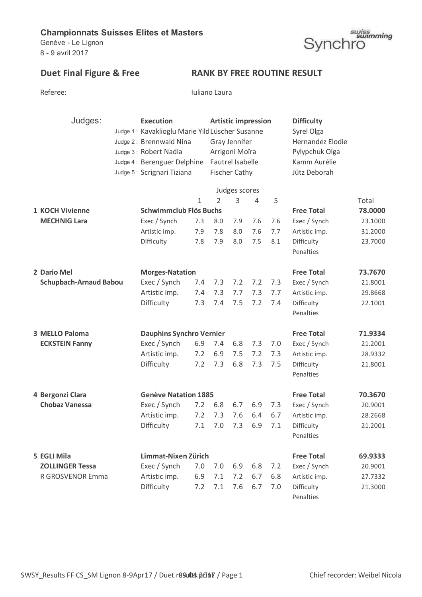Genève - Le Lignon 8 - 9 avril 2017

# suiss<br>Synchro

# Duet Final Figure & Free RANK BY FREE ROUTINE RESULT

Iuliano Laura

| Judges:                       | <b>Execution</b><br>Judge 1: Kavaklioglu Marie Yild Lüscher Susanne<br>Judge 2: Brennwald Nina<br>Judge 3: Robert Nadia<br>Judge 4: Berenguer Delphine<br>Judge 5: Scrignari Tiziana |             | <b>Artistic impression</b><br>Gray Jennifer<br>Arrigoni Moïra<br>Fautrel Isabelle | <b>Fischer Cathy</b><br>Judges scores |     |     | <b>Difficulty</b><br>Syrel Olga<br>Hernandez Elodie<br>Pylypchuk Olga<br>Kamm Aurélie<br>Jütz Deborah |         |  |
|-------------------------------|--------------------------------------------------------------------------------------------------------------------------------------------------------------------------------------|-------------|-----------------------------------------------------------------------------------|---------------------------------------|-----|-----|-------------------------------------------------------------------------------------------------------|---------|--|
|                               | Schwimmclub Flös Buchs                                                                                                                                                               | $\mathbf 1$ | $\overline{2}$                                                                    | 3                                     | 4   | 5   |                                                                                                       | Total   |  |
| <b>1 KOCH Vivienne</b>        |                                                                                                                                                                                      |             |                                                                                   |                                       |     |     | <b>Free Total</b>                                                                                     | 78.0000 |  |
| <b>MECHNIG Lara</b>           | Exec / Synch                                                                                                                                                                         | 7.3         | 8.0                                                                               | 7.9                                   | 7.6 | 7.6 | Exec / Synch                                                                                          | 23.1000 |  |
|                               | Artistic imp.                                                                                                                                                                        | 7.9         | 7.8                                                                               | 8.0                                   | 7.6 | 7.7 | Artistic imp.                                                                                         | 31.2000 |  |
|                               | Difficulty                                                                                                                                                                           | 7.8         | 7.9                                                                               | 8.0                                   | 7.5 | 8.1 | Difficulty<br>Penalties                                                                               | 23.7000 |  |
| 2 Dario Mel                   | <b>Morges-Natation</b>                                                                                                                                                               |             |                                                                                   |                                       |     |     | <b>Free Total</b>                                                                                     | 73.7670 |  |
| <b>Schupbach-Arnaud Babou</b> | Exec / Synch                                                                                                                                                                         | 7.4         | 7.3                                                                               | 7.2                                   | 7.2 | 7.3 | Exec / Synch                                                                                          | 21.8001 |  |
|                               | Artistic imp.                                                                                                                                                                        | 7.4         | 7.3                                                                               | 7.7                                   | 7.3 | 7.7 | Artistic imp.                                                                                         | 29.8668 |  |
|                               | Difficulty                                                                                                                                                                           | 7.3         | 7.4                                                                               | 7.5                                   | 7.2 | 7.4 | Difficulty                                                                                            | 22.1001 |  |
|                               |                                                                                                                                                                                      |             |                                                                                   |                                       |     |     | Penalties                                                                                             |         |  |
| 3 MELLO Paloma                | <b>Dauphins Synchro Vernier</b>                                                                                                                                                      |             |                                                                                   |                                       |     |     | <b>Free Total</b>                                                                                     | 71.9334 |  |
| <b>ECKSTEIN Fanny</b>         | Exec / Synch                                                                                                                                                                         | 6.9         | 7.4                                                                               | 6.8                                   | 7.3 | 7.0 | Exec / Synch                                                                                          | 21.2001 |  |
|                               | Artistic imp.                                                                                                                                                                        | 7.2         | 6.9                                                                               | 7.5                                   | 7.2 | 7.3 | Artistic imp.                                                                                         | 28.9332 |  |
|                               | Difficulty                                                                                                                                                                           | 7.2         | 7.3                                                                               | 6.8                                   | 7.3 | 7.5 | Difficulty                                                                                            | 21.8001 |  |
|                               |                                                                                                                                                                                      |             |                                                                                   |                                       |     |     | Penalties                                                                                             |         |  |
| 4 Bergonzi Clara              | <b>Genève Natation 1885</b>                                                                                                                                                          |             |                                                                                   |                                       |     |     | <b>Free Total</b>                                                                                     | 70.3670 |  |
| <b>Chobaz Vanessa</b>         | Exec / Synch                                                                                                                                                                         | 7.2         | 6.8                                                                               | 6.7                                   | 6.9 | 7.3 | Exec / Synch                                                                                          | 20.9001 |  |
|                               | Artistic imp.                                                                                                                                                                        | 7.2         | 7.3                                                                               | 7.6                                   | 6.4 | 6.7 | Artistic imp.                                                                                         | 28.2668 |  |
|                               | Difficulty                                                                                                                                                                           | 7.1         | 7.0                                                                               | 7.3                                   | 6.9 | 7.1 | Difficulty                                                                                            | 21.2001 |  |
|                               |                                                                                                                                                                                      |             |                                                                                   |                                       |     |     | Penalties                                                                                             |         |  |
| 5 EGLI Mila                   | Limmat-Nixen Zürich                                                                                                                                                                  |             |                                                                                   |                                       |     |     | <b>Free Total</b>                                                                                     | 69.9333 |  |
| <b>ZOLLINGER Tessa</b>        | Exec / Synch                                                                                                                                                                         | 7.0         | 7.0                                                                               | 6.9                                   | 6.8 | 7.2 | Exec / Synch                                                                                          | 20.9001 |  |
| R GROSVENOR Emma              | Artistic imp.                                                                                                                                                                        | 6.9         | 7.1                                                                               | 7.2                                   | 6.7 | 6.8 | Artistic imp.                                                                                         | 27.7332 |  |
|                               | Difficulty                                                                                                                                                                           | 7.2         | 7.1                                                                               | 7.6                                   | 6.7 | 7.0 | Difficulty<br>Penalties                                                                               | 21.3000 |  |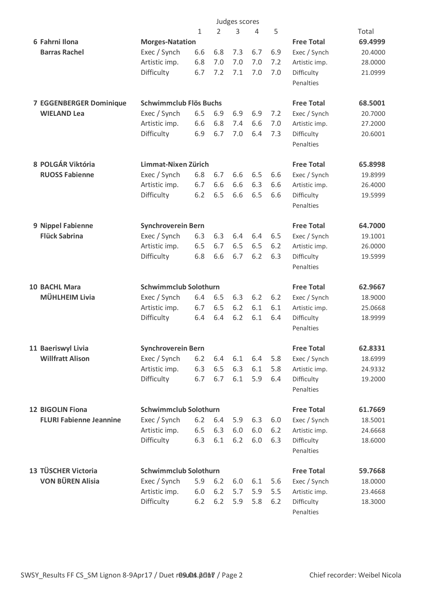|                                |                              |                           |       | Judges scores |     |     |                   |         |
|--------------------------------|------------------------------|---------------------------|-------|---------------|-----|-----|-------------------|---------|
|                                |                              | $\mathbf{1}$              | 2     | 3             | 4   | 5   |                   | Total   |
| 6 Fahrni Ilona                 | <b>Morges-Natation</b>       |                           |       |               |     |     | <b>Free Total</b> | 69.4999 |
| <b>Barras Rachel</b>           | Exec / Synch                 | 6.6                       | 6.8   | 7.3           | 6.7 | 6.9 | Exec / Synch      | 20.4000 |
|                                | Artistic imp.                | 6.8                       | 7.0   | 7.0           | 7.0 | 7.2 | Artistic imp.     | 28.0000 |
|                                | Difficulty                   | 6.7                       | 7.2   | 7.1           | 7.0 | 7.0 | Difficulty        | 21.0999 |
|                                |                              |                           |       |               |     |     | Penalties         |         |
| <b>7 EGGENBERGER Dominique</b> | Schwimmclub Flös Buchs       |                           |       |               |     |     | <b>Free Total</b> | 68.5001 |
| <b>WIELAND Lea</b>             | Exec / Synch                 | 6.5                       | 6.9   | 6.9           | 6.9 | 7.2 | Exec / Synch      | 20.7000 |
|                                | Artistic imp.                | 6.6                       | 6.8   | 7.4           | 6.6 | 7.0 | Artistic imp.     | 27.2000 |
|                                | Difficulty                   | 6.9                       | 6.7   | 7.0           | 6.4 | 7.3 | Difficulty        | 20.6001 |
|                                |                              |                           |       |               |     |     | Penalties         |         |
| 8 POLGÁR Viktória              | Limmat-Nixen Zürich          |                           |       |               |     |     | <b>Free Total</b> | 65.8998 |
| <b>RUOSS Fabienne</b>          | Exec / Synch                 | 6.8                       | 6.7   | 6.6           | 6.5 | 6.6 | Exec / Synch      | 19.8999 |
|                                | Artistic imp.                | 6.7                       | 6.6   | 6.6           | 6.3 | 6.6 | Artistic imp.     | 26.4000 |
|                                | Difficulty                   | $6.2$                     | 6.5   | 6.6           | 6.5 | 6.6 | Difficulty        | 19.5999 |
|                                |                              |                           |       |               |     |     | Penalties         |         |
| 9 Nippel Fabienne              |                              | <b>Synchroverein Bern</b> |       |               |     |     | <b>Free Total</b> | 64.7000 |
| <b>Flück Sabrina</b>           | Exec / Synch                 | 6.3                       | 6.3   | 6.4           | 6.4 | 6.5 | Exec / Synch      | 19.1001 |
|                                | Artistic imp.                | 6.5                       | 6.7   | 6.5           | 6.5 | 6.2 | Artistic imp.     | 26.0000 |
|                                | Difficulty                   | 6.8                       | 6.6   | 6.7           | 6.2 | 6.3 | Difficulty        | 19.5999 |
|                                |                              |                           |       |               |     |     | Penalties         |         |
| <b>10 BACHL Mara</b>           | <b>Schwimmclub Solothurn</b> |                           |       |               |     |     | <b>Free Total</b> | 62.9667 |
| <b>MÜHLHEIM Livia</b>          | Exec / Synch                 | 6.4                       | 6.5   | 6.3           | 6.2 | 6.2 | Exec / Synch      | 18.9000 |
|                                | Artistic imp.                | 6.7                       | 6.5   | 6.2           | 6.1 | 6.1 | Artistic imp.     | 25.0668 |
|                                | Difficulty                   | 6.4                       | 6.4   | 6.2           | 6.1 | 6.4 | Difficulty        | 18.9999 |
|                                |                              |                           |       |               |     |     | Penalties         |         |
| 11 Baeriswyl Livia             | <b>Synchroverein Bern</b>    |                           |       |               |     |     | <b>Free Total</b> | 62.8331 |
| <b>Willfratt Alison</b>        | Exec / Synch                 | 6.2                       | 6.4   | 6.1           | 6.4 | 5.8 | Exec / Synch      | 18.6999 |
|                                | Artistic imp.                | 6.3                       | 6.5   | 6.3           | 6.1 | 5.8 | Artistic imp.     | 24.9332 |
|                                | Difficulty                   | 6.7                       | 6.7   | 6.1           | 5.9 | 6.4 | Difficulty        | 19.2000 |
|                                |                              |                           |       |               |     |     | Penalties         |         |
| <b>12 BIGOLIN Fiona</b>        | <b>Schwimmclub Solothurn</b> |                           |       |               |     |     | <b>Free Total</b> | 61.7669 |
| <b>FLURI Fabienne Jeannine</b> | Exec / Synch                 | 6.2                       | 6.4   | 5.9           | 6.3 | 6.0 | Exec / Synch      | 18.5001 |
|                                | Artistic imp.                | 6.5                       | 6.3   | 6.0           | 6.0 | 6.2 | Artistic imp.     | 24.6668 |
|                                | Difficulty                   | 6.3                       | 6.1   | $6.2$         | 6.0 | 6.3 | Difficulty        | 18.6000 |
|                                |                              |                           |       |               |     |     | Penalties         |         |
| 13 TÜSCHER Victoria            | <b>Schwimmclub Solothurn</b> |                           |       |               |     |     | <b>Free Total</b> | 59.7668 |
| <b>VON BÜREN Alisia</b>        | Exec / Synch                 | 5.9                       | $6.2$ | 6.0           | 6.1 | 5.6 | Exec / Synch      | 18.0000 |
|                                | Artistic imp.                | 6.0                       | $6.2$ | 5.7           | 5.9 | 5.5 | Artistic imp.     | 23.4668 |
|                                | Difficulty                   | $6.2$                     | $6.2$ | 5.9           | 5.8 | 6.2 | Difficulty        | 18.3000 |
|                                |                              |                           |       |               |     |     | Penalties         |         |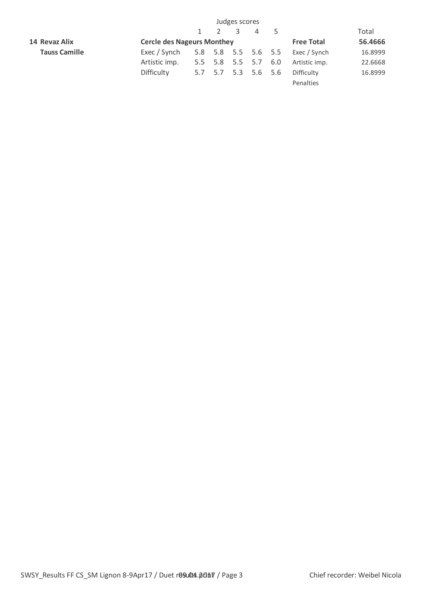|                      | Judges scores                     |                   |                     |               |                |     |               |         |
|----------------------|-----------------------------------|-------------------|---------------------|---------------|----------------|-----|---------------|---------|
|                      |                                   |                   |                     | $\mathcal{R}$ | $\overline{4}$ |     |               | Total   |
| 14 Revaz Alix        | <b>Cercle des Nageurs Monthey</b> | <b>Free Total</b> | 56.4666             |               |                |     |               |         |
| <b>Tauss Camille</b> | Exec / Synch                      |                   | 5.8 5.8 5.5 5.6 5.5 |               |                |     | Exec / Synch  | 16.8999 |
|                      | Artistic imp.                     |                   | 5.5 5.8 5.5 5.7     |               |                | 6.0 | Artistic imp. | 22.6668 |
|                      | Difficulty                        |                   | 5.7 5.7 5.3 5.6 5.6 |               |                |     | Difficulty    | 16.8999 |
|                      |                                   |                   |                     |               |                |     | Penalties     |         |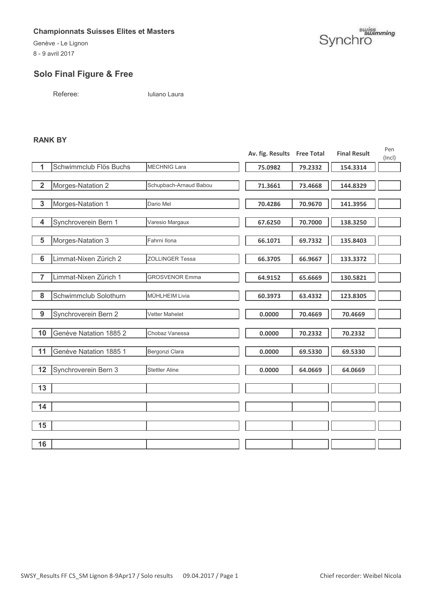Genève - Le Lignon 8 - 9 avril 2017

# suiss<br>Synchro

## **Solo Final Figure & Free**

Referee: Iuliano Laura

#### **RANK BY**

|                         |                        |                        | Av. fig. Results Free Total |         | <b>Final Result</b> | Pen<br>(Incl) |
|-------------------------|------------------------|------------------------|-----------------------------|---------|---------------------|---------------|
| 1                       | Schwimmclub Flös Buchs | <b>MECHNIG Lara</b>    | 75.0982                     | 79.2332 | 154.3314            |               |
|                         |                        |                        |                             |         |                     |               |
| $\overline{2}$          | Morges-Natation 2      | Schupbach-Arnaud Babou | 71.3661                     | 73.4668 | 144.8329            |               |
|                         |                        |                        |                             |         |                     |               |
| $\mathbf{3}$            | Morges-Natation 1      | Dario Mel              | 70.4286                     | 70.9670 | 141.3956            |               |
|                         |                        |                        |                             |         |                     |               |
| $\overline{\mathbf{4}}$ | Synchroverein Bern 1   | Varesio Margaux        | 67.6250                     | 70.7000 | 138.3250            |               |
|                         |                        |                        |                             |         |                     |               |
| 5                       | Morges-Natation 3      | Fahrni Ilona           | 66.1071                     | 69.7332 | 135.8403            |               |
| $6\phantom{1}6$         | Limmat-Nixen Zürich 2  | <b>ZOLLINGER Tessa</b> | 66.3705                     | 66.9667 | 133.3372            |               |
|                         |                        |                        |                             |         |                     |               |
| 7                       | Limmat-Nixen Zürich 1  | <b>GROSVENOR Emma</b>  | 64.9152                     | 65.6669 | 130.5821            |               |
|                         |                        |                        |                             |         |                     |               |
| 8                       | Schwimmclub Solothurn  | MÜHLHEIM Livia         | 60.3973                     | 63.4332 | 123.8305            |               |
|                         |                        |                        |                             |         |                     |               |
| 9                       | Synchroverein Bern 2   | <b>Vetter Mahelet</b>  | 0.0000                      | 70.4669 | 70.4669             |               |
|                         |                        |                        |                             |         |                     |               |
| 10                      | Genève Natation 1885 2 | Chobaz Vanessa         | 0.0000                      | 70.2332 | 70.2332             |               |
|                         |                        |                        |                             |         |                     |               |
| 11                      | Genève Natation 1885 1 | Bergonzi Clara         | 0.0000                      | 69.5330 | 69.5330             |               |
|                         |                        |                        |                             |         |                     |               |
| 12                      | Synchroverein Bern 3   | <b>Stettler Aline</b>  | 0.0000                      | 64.0669 | 64.0669             |               |
|                         |                        |                        |                             |         |                     |               |
| 13                      |                        |                        |                             |         |                     |               |
|                         |                        |                        |                             |         |                     |               |
| 14                      |                        |                        |                             |         |                     |               |
|                         |                        |                        |                             |         |                     |               |
| 15                      |                        |                        |                             |         |                     |               |
|                         |                        |                        |                             |         |                     |               |
| 16                      |                        |                        |                             |         |                     |               |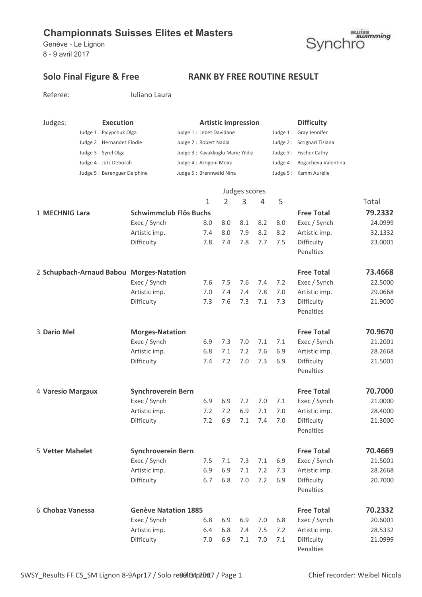Referee: Iuliano Laura

Genève - Le Lignon 8 - 9 avril 2017



## Solo Final Figure & Free RANK BY FREE ROUTINE RESULT

| Judges:                                  | <b>Execution</b>            |                                   |                | <b>Artistic impression</b> |     |     | <b>Difficulty</b>            |         |
|------------------------------------------|-----------------------------|-----------------------------------|----------------|----------------------------|-----|-----|------------------------------|---------|
| Judge 1: Pylypchuk Olga                  |                             | Judge 1 : Lebet Davidane          |                |                            |     |     | Judge 1: Gray Jennifer       |         |
| Judge 2 : Hernandez Elodie               |                             | Judge 2: Robert Nadia             |                |                            |     |     | Judge 2: Scrignari Tiziana   |         |
| Judge 3 : Syrel Olga                     |                             | Judge 3: Kavaklioglu Marie Yildiz |                |                            |     |     | Judge 3: Fischer Cathy       |         |
| Judge 4 : Jütz Deborah                   |                             | Judge 4 : Arrigoni Moïra          |                |                            |     |     | Judge 4: Bogacheva Valentina |         |
|                                          | Judge 5: Berenguer Delphine | Judge 5 : Brennwald Nina          |                |                            |     |     | Judge 5: Kamm Aurélie        |         |
|                                          |                             |                                   |                | Judges scores              |     |     |                              |         |
|                                          |                             | $\mathbf{1}$                      | $\overline{2}$ | 3                          | 4   | 5   |                              | Total   |
| 1 MECHNIG Lara                           | Schwimmclub Flös Buchs      |                                   |                |                            |     |     | <b>Free Total</b>            | 79.2332 |
|                                          | Exec / Synch                | 8.0                               | 8.0            | 8.1                        | 8.2 | 8.0 | Exec / Synch                 | 24.0999 |
|                                          | Artistic imp.               | 7.4                               | 8.0            | 7.9                        | 8.2 | 8.2 | Artistic imp.                | 32.1332 |
|                                          | Difficulty                  | 7.8                               | 7.4            | 7.8                        | 7.7 | 7.5 | Difficulty                   | 23.0001 |
|                                          |                             |                                   |                |                            |     |     | Penalties                    |         |
| 2 Schupbach-Arnaud Babou Morges-Natation |                             |                                   |                |                            |     |     | <b>Free Total</b>            | 73.4668 |
|                                          | Exec / Synch                | 7.6                               | 7.5            | 7.6                        | 7.4 | 7.2 | Exec / Synch                 | 22.5000 |
|                                          | Artistic imp.               | 7.0                               | 7.4            | 7.4                        | 7.8 | 7.0 | Artistic imp.                | 29.0668 |
|                                          | Difficulty                  | 7.3                               | 7.6            | 7.3                        | 7.1 | 7.3 | Difficulty                   | 21.9000 |
|                                          |                             |                                   |                |                            |     |     | Penalties                    |         |
| 3 Dario Mel                              | <b>Morges-Natation</b>      |                                   |                |                            |     |     | <b>Free Total</b>            | 70.9670 |
|                                          | Exec / Synch                | 6.9                               | 7.3            | 7.0                        | 7.1 | 7.1 | Exec / Synch                 | 21.2001 |
|                                          | Artistic imp.               | 6.8                               | 7.1            | 7.2                        | 7.6 | 6.9 | Artistic imp.                | 28.2668 |
|                                          | Difficulty                  | 7.4                               | 7.2            | 7.0                        | 7.3 | 6.9 | Difficulty                   | 21.5001 |
|                                          |                             |                                   |                |                            |     |     | Penalties                    |         |
| 4 Varesio Margaux                        | <b>Synchroverein Bern</b>   |                                   |                |                            |     |     | <b>Free Total</b>            | 70.7000 |
|                                          | Exec / Synch                | 6.9                               | 6.9            | 7.2                        | 7.0 | 7.1 | Exec / Synch                 | 21.0000 |
|                                          | Artistic imp.               | 7.2                               | 7.2            | 6.9                        | 7.1 | 7.0 | Artistic imp.                | 28.4000 |
|                                          | Difficulty                  | 7.2                               | 6.9            | $7.1$ $7.4$                |     | 7.0 | Difficulty                   | 21.3000 |
|                                          |                             |                                   |                |                            |     |     | Penalties                    |         |
| <b>5 Vetter Mahelet</b>                  | <b>Synchroverein Bern</b>   |                                   |                |                            |     |     | <b>Free Total</b>            | 70.4669 |
|                                          | Exec / Synch                | 7.5                               | 7.1            | 7.3                        | 7.1 | 6.9 | Exec / Synch                 | 21.5001 |
|                                          | Artistic imp.               | 6.9                               | 6.9            | 7.1                        | 7.2 | 7.3 | Artistic imp.                | 28.2668 |
|                                          | Difficulty                  | 6.7                               | 6.8            | 7.0                        | 7.2 | 6.9 | Difficulty                   | 20.7000 |
|                                          |                             |                                   |                |                            |     |     | Penalties                    |         |
| 6 Chobaz Vanessa                         | <b>Genève Natation 1885</b> |                                   |                |                            |     |     | <b>Free Total</b>            | 70.2332 |
|                                          | Exec / Synch                | 6.8                               | 6.9            | 6.9                        | 7.0 | 6.8 | Exec / Synch                 | 20.6001 |
|                                          | Artistic imp.               | 6.4                               | 6.8            | 7.4                        | 7.5 | 7.2 | Artistic imp.                | 28.5332 |
|                                          | Difficulty                  | 7.0                               | 6.9            | 7.1                        | 7.0 | 7.1 | Difficulty                   | 21.0999 |

Penalties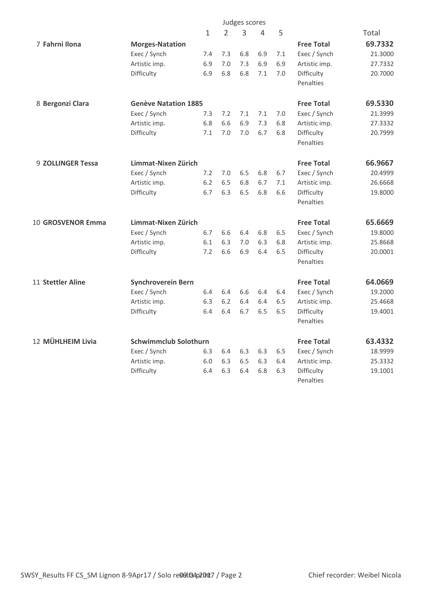|                   |                              | Judges scores |                |     |     |     |                   |         |
|-------------------|------------------------------|---------------|----------------|-----|-----|-----|-------------------|---------|
|                   |                              | $\mathbf 1$   | $\overline{2}$ | 3   | 4   | 5   |                   | Total   |
| 7 Fahrni Ilona    | <b>Morges-Natation</b>       |               |                |     |     |     | <b>Free Total</b> | 69.7332 |
|                   | Exec / Synch                 | 7.4           | 7.3            | 6.8 | 6.9 | 7.1 | Exec / Synch      | 21.3000 |
|                   | Artistic imp.                | 6.9           | 7.0            | 7.3 | 6.9 | 6.9 | Artistic imp.     | 27.7332 |
|                   | Difficulty                   | 6.9           | 6.8            | 6.8 | 7.1 | 7.0 | Difficulty        | 20.7000 |
|                   |                              |               |                |     |     |     | Penalties         |         |
| 8 Bergonzi Clara  | <b>Genève Natation 1885</b>  |               |                |     |     |     | <b>Free Total</b> | 69.5330 |
|                   | Exec / Synch                 | 7.3           | 7.2            | 7.1 | 7.1 | 7.0 | Exec / Synch      | 21.3999 |
|                   | Artistic imp.                | 6.8           | 6.6            | 6.9 | 7.3 | 6.8 | Artistic imp.     | 27.3332 |
|                   | Difficulty                   | 7.1           | 7.0            | 7.0 | 6.7 | 6.8 | Difficulty        | 20.7999 |
|                   |                              |               |                |     |     |     | Penalties         |         |
| 9 ZOLLINGER Tessa | Limmat-Nixen Zürich          |               |                |     |     |     | <b>Free Total</b> | 66.9667 |
|                   | Exec / Synch                 | 7.2           | 7.0            | 6.5 | 6.8 | 6.7 | Exec / Synch      | 20.4999 |
|                   | Artistic imp.                | 6.2           | 6.5            | 6.8 | 6.7 | 7.1 | Artistic imp.     | 26.6668 |
|                   | Difficulty                   | 6.7           | 6.3            | 6.5 | 6.8 | 6.6 | Difficulty        | 19.8000 |
|                   |                              |               |                |     |     |     | Penalties         |         |
| 10 GROSVENOR Emma | Limmat-Nixen Zürich          |               |                |     |     |     | <b>Free Total</b> | 65.6669 |
|                   | Exec / Synch                 | 6.7           | 6.6            | 6.4 | 6.8 | 6.5 | Exec / Synch      | 19.8000 |
|                   | Artistic imp.                | 6.1           | 6.3            | 7.0 | 6.3 | 6.8 | Artistic imp.     | 25.8668 |
|                   | Difficulty                   | 7.2           | 6.6            | 6.9 | 6.4 | 6.5 | Difficulty        | 20.0001 |
|                   |                              |               |                |     |     |     | Penalties         |         |
| 11 Stettler Aline | <b>Synchroverein Bern</b>    |               |                |     |     |     | <b>Free Total</b> | 64.0669 |
|                   | Exec / Synch                 | 6.4           | 6.4            | 6.6 | 6.4 | 6.4 | Exec / Synch      | 19.2000 |
|                   | Artistic imp.                | 6.3           | 6.2            | 6.4 | 6.4 | 6.5 | Artistic imp.     | 25.4668 |
|                   | Difficulty                   | 6.4           | 6.4            | 6.7 | 6.5 | 6.5 | Difficulty        | 19.4001 |
|                   |                              |               |                |     |     |     | Penalties         |         |
| 12 MÜHLHEIM Livia | <b>Schwimmclub Solothurn</b> |               |                |     |     |     | <b>Free Total</b> | 63.4332 |
|                   | Exec / Synch                 | 6.3           | 6.4            | 6.3 | 6.3 | 6.5 | Exec / Synch      | 18.9999 |
|                   | Artistic imp.                | 6.0           | 6.3            | 6.5 | 6.3 | 6.4 | Artistic imp.     | 25.3332 |
|                   | Difficulty                   | 6.4           | 6.3            | 6.4 | 6.8 | 6.3 | Difficulty        | 19.1001 |
|                   |                              |               |                |     |     |     | Penalties         |         |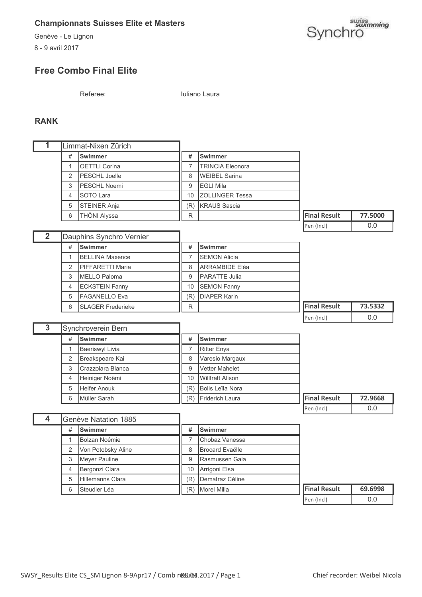Genève - Le Lignon

8 - 9 avril 2017



# **Free Combo Final Elite**

Referee: Iuliano Laura

#### **RANK**

| 1              | Limmat-Nixen Zürich       |                          |                  |                         |                     |         |
|----------------|---------------------------|--------------------------|------------------|-------------------------|---------------------|---------|
|                | <b>Swimmer</b><br>#       |                          |                  | <b>Swimmer</b>          |                     |         |
|                | <b>OETTLI Corina</b><br>1 |                          | $\overline{7}$   | <b>TRINCIA Eleonora</b> |                     |         |
|                | PESCHL Joelle<br>2        |                          | 8                | <b>WEIBEL Sarina</b>    |                     |         |
|                | 3                         | PESCHL Noemi             | 9                | <b>EGLI Mila</b>        |                     |         |
|                | $\overline{4}$            | SOTO Lara                | 10               | <b>ZOLLINGER Tessa</b>  |                     |         |
|                | 5                         | <b>STEINER Anja</b>      | (R)              | <b>KRAUS Sascia</b>     |                     |         |
|                | 6                         | THÖNI Alyssa             | R                |                         | <b>Final Result</b> | 77.5000 |
|                |                           |                          |                  |                         | Pen (Incl)          | 0.0     |
| $\overline{2}$ |                           | Dauphins Synchro Vernier |                  |                         |                     |         |
|                | #                         | Swimmer                  | #                | <b>Swimmer</b>          |                     |         |
|                | 1                         | <b>BELLINA Maxence</b>   | $\overline{7}$   | <b>SEMON Alicia</b>     |                     |         |
|                | $\overline{2}$            | PIFFARETTI Maria         | 8                | <b>ARRAMBIDE Eléa</b>   |                     |         |
|                | 3                         | <b>MELLO Paloma</b>      | $\boldsymbol{9}$ | PARATTE Julia           |                     |         |
|                | 4                         | <b>ECKSTEIN Fanny</b>    | 10               | <b>SEMON Fanny</b>      |                     |         |
|                | 5                         | <b>FAGANELLO Eva</b>     | (R)              | <b>DIAPER Karin</b>     |                     |         |
|                | 6                         | <b>SLAGER Frederieke</b> | R                |                         | <b>Final Result</b> | 73.5332 |
|                |                           |                          |                  |                         | Pen (Incl)          | 0.0     |
|                | Synchroverein Bern        |                          |                  |                         |                     |         |
| $\overline{3}$ |                           |                          |                  |                         |                     |         |
|                | #                         | <b>Swimmer</b>           | #                | <b>Swimmer</b>          |                     |         |
|                | $\mathbf{1}$              | <b>Baeriswyl Livia</b>   | $\overline{7}$   | <b>Ritter Enya</b>      |                     |         |
|                | $\overline{2}$            | Breakspeare Kai          | 8                | Varesio Margaux         |                     |         |
|                | 3                         | Crazzolara Blanca        | 9                | Vetter Mahelet          |                     |         |
|                | $\overline{4}$            | Heiniger Noëmi           | 10               | <b>Willfratt Alison</b> |                     |         |
|                | 5                         | <b>Helfer Anouk</b>      | (R)              | <b>Bolis Leïla Nora</b> |                     |         |
|                | 6                         | Müller Sarah             | (R)              | Friderich Laura         | <b>Final Result</b> | 72.9668 |
|                |                           |                          |                  |                         | Pen (Incl)          | 0.0     |
| $\overline{4}$ |                           | Genève Natation 1885     |                  |                         |                     |         |
|                | #                         | <b>Swimmer</b>           | #                | Swimmer                 |                     |         |
|                | 1                         | Bolzan Noémie            | $\overline{7}$   | Chobaz Vanessa          |                     |         |
|                | 2                         | Von Potobsky Aline       | 8                | <b>Brocard Evaëlle</b>  |                     |         |
|                | 3                         | Meyer Pauline            | 9                | Rasmussen Gaia          |                     |         |
|                | 4                         | Bergonzi Clara           | 10               | Arrigoni Elsa           |                     |         |
|                | 5                         | Hillemanns Clara         | (R)              | Dematraz Céline         |                     |         |

| $ P\rho n$ ( $ n \rho $ ) |  |
|---------------------------|--|